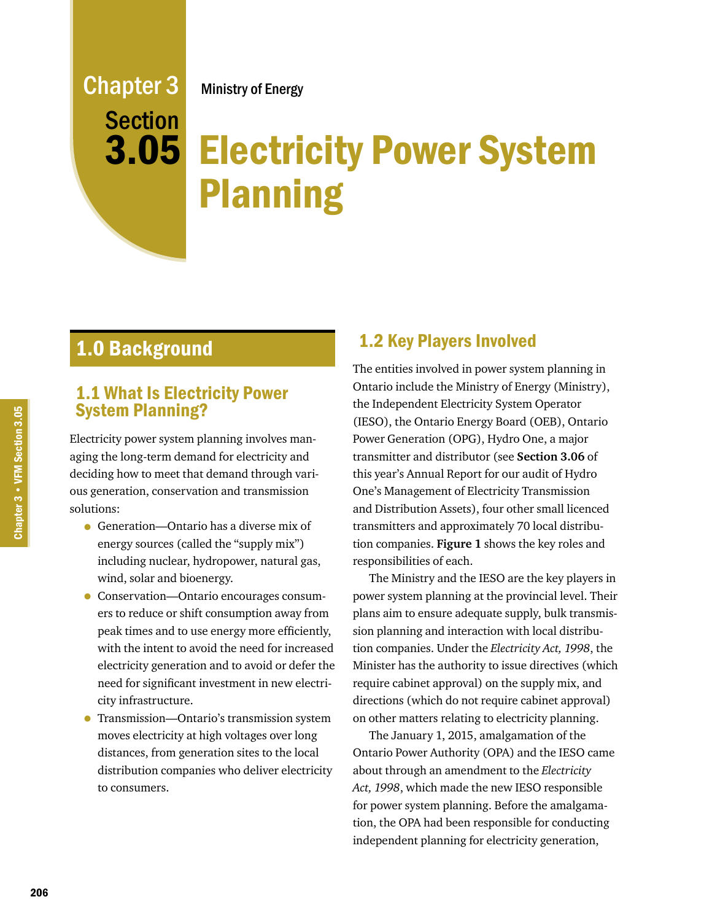## Ministry of Energy

# **3.05 Electricity Power System** Planning

# 1.0 Background

Chapter 3

**Section** 

## 1.1 What Is Electricity Power System Planning?

Electricity power system planning involves managing the long-term demand for electricity and deciding how to meet that demand through various generation, conservation and transmission solutions:

- Generation—Ontario has a diverse mix of energy sources (called the "supply mix") including nuclear, hydropower, natural gas, wind, solar and bioenergy.
- Conservation—Ontario encourages consumers to reduce or shift consumption away from peak times and to use energy more efficiently, with the intent to avoid the need for increased electricity generation and to avoid or defer the need for significant investment in new electricity infrastructure.
- Transmission—Ontario's transmission system moves electricity at high voltages over long distances, from generation sites to the local distribution companies who deliver electricity to consumers.

## 1.2 Key Players Involved

The entities involved in power system planning in Ontario include the Ministry of Energy (Ministry), the Independent Electricity System Operator (IESO), the Ontario Energy Board (OEB), Ontario Power Generation (OPG), Hydro One, a major transmitter and distributor (see **Section 3.06** of this year's Annual Report for our audit of Hydro One's Management of Electricity Transmission and Distribution Assets), four other small licenced transmitters and approximately 70 local distribution companies. **Figure 1** shows the key roles and responsibilities of each.

The Ministry and the IESO are the key players in power system planning at the provincial level. Their plans aim to ensure adequate supply, bulk transmission planning and interaction with local distribution companies. Under the *Electricity Act, 1998*, the Minister has the authority to issue directives (which require cabinet approval) on the supply mix, and directions (which do not require cabinet approval) on other matters relating to electricity planning.

The January 1, 2015, amalgamation of the Ontario Power Authority (OPA) and the IESO came about through an amendment to the *Electricity Act, 1998*, which made the new IESO responsible for power system planning. Before the amalgamation, the OPA had been responsible for conducting independent planning for electricity generation,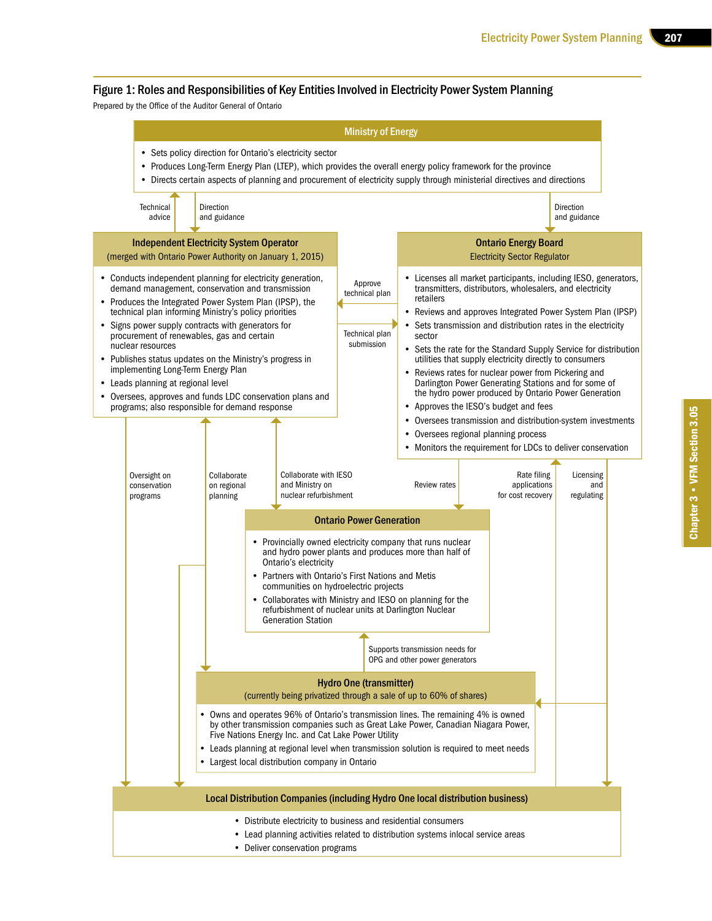#### Figure 1: Roles and Responsibilities of Key Entities Involved in Electricity Power System Planning

Prepared by the Office of the Auditor General of Ontario

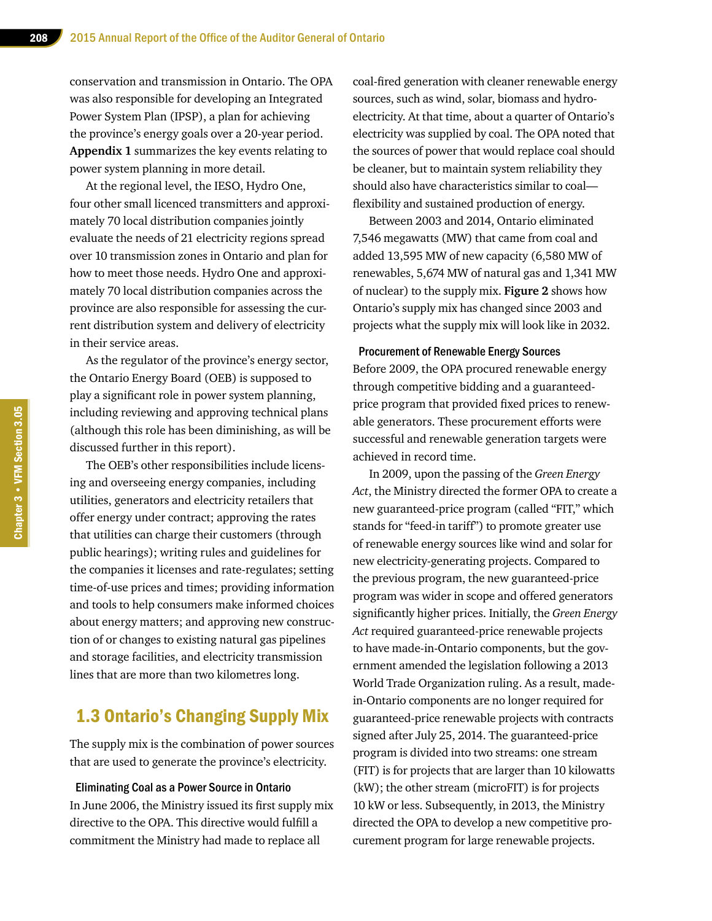conservation and transmission in Ontario. The OPA was also responsible for developing an Integrated Power System Plan (IPSP), a plan for achieving the province's energy goals over a 20-year period. **Appendix 1** summarizes the key events relating to power system planning in more detail.

At the regional level, the IESO, Hydro One, four other small licenced transmitters and approximately 70 local distribution companies jointly evaluate the needs of 21 electricity regions spread over 10 transmission zones in Ontario and plan for how to meet those needs. Hydro One and approximately 70 local distribution companies across the province are also responsible for assessing the current distribution system and delivery of electricity in their service areas.

As the regulator of the province's energy sector, the Ontario Energy Board (OEB) is supposed to play a significant role in power system planning, including reviewing and approving technical plans (although this role has been diminishing, as will be discussed further in this report).

The OEB's other responsibilities include licensing and overseeing energy companies, including utilities, generators and electricity retailers that offer energy under contract; approving the rates that utilities can charge their customers (through public hearings); writing rules and guidelines for the companies it licenses and rate-regulates; setting time-of-use prices and times; providing information and tools to help consumers make informed choices about energy matters; and approving new construction of or changes to existing natural gas pipelines and storage facilities, and electricity transmission lines that are more than two kilometres long.

## 1.3 Ontario's Changing Supply Mix

The supply mix is the combination of power sources that are used to generate the province's electricity.

Eliminating Coal as a Power Source in Ontario In June 2006, the Ministry issued its first supply mix directive to the OPA. This directive would fulfill a commitment the Ministry had made to replace all

coal-fired generation with cleaner renewable energy sources, such as wind, solar, biomass and hydroelectricity. At that time, about a quarter of Ontario's electricity was supplied by coal. The OPA noted that the sources of power that would replace coal should be cleaner, but to maintain system reliability they should also have characteristics similar to coal flexibility and sustained production of energy.

Between 2003 and 2014, Ontario eliminated 7,546 megawatts (MW) that came from coal and added 13,595 MW of new capacity (6,580 MW of renewables, 5,674 MW of natural gas and 1,341 MW of nuclear) to the supply mix. **Figure 2** shows how Ontario's supply mix has changed since 2003 and projects what the supply mix will look like in 2032.

#### Procurement of Renewable Energy Sources

Before 2009, the OPA procured renewable energy through competitive bidding and a guaranteedprice program that provided fixed prices to renewable generators. These procurement efforts were successful and renewable generation targets were achieved in record time.

In 2009, upon the passing of the *Green Energy Act*, the Ministry directed the former OPA to create a new guaranteed-price program (called "FIT," which stands for "feed-in tariff") to promote greater use of renewable energy sources like wind and solar for new electricity-generating projects. Compared to the previous program, the new guaranteed-price program was wider in scope and offered generators significantly higher prices. Initially, the *Green Energy Act* required guaranteed-price renewable projects to have made-in-Ontario components, but the government amended the legislation following a 2013 World Trade Organization ruling. As a result, madein-Ontario components are no longer required for guaranteed-price renewable projects with contracts signed after July 25, 2014. The guaranteed-price program is divided into two streams: one stream (FIT) is for projects that are larger than 10 kilowatts (kW); the other stream (microFIT) is for projects 10 kW or less. Subsequently, in 2013, the Ministry directed the OPA to develop a new competitive procurement program for large renewable projects.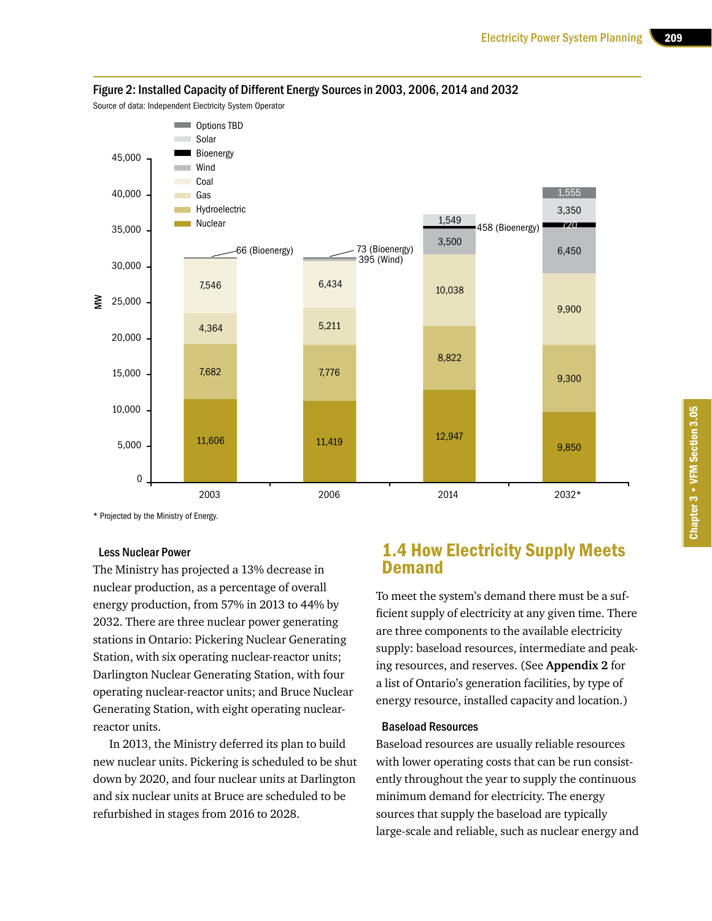

#### Figure 2: Installed Capacity of Different Energy Sources in 2003, 2006, 2014 and 2032

Source of data: Independent Electricity System Operator

\* Projected by the Ministry of Energy.

#### Less Nuclear Power

The Ministry has projected a 13% decrease in nuclear production, as a percentage of overall energy production, from 57% in 2013 to 44% by 2032. There are three nuclear power generating stations in Ontario: Pickering Nuclear Generating Station, with six operating nuclear-reactor units; Darlington Nuclear Generating Station, with four operating nuclear-reactor units; and Bruce Nuclear Generating Station, with eight operating nuclearreactor units.

In 2013, the Ministry deferred its plan to build new nuclear units. Pickering is scheduled to be shut down by 2020, and four nuclear units at Darlington and six nuclear units at Bruce are scheduled to be refurbished in stages from 2016 to 2028.

## 1.4 How Electricity Supply Meets Demand

To meet the system's demand there must be a sufficient supply of electricity at any given time. There are three components to the available electricity supply: baseload resources, intermediate and peaking resources, and reserves. (See **Appendix 2** for a list of Ontario's generation facilities, by type of energy resource, installed capacity and location.)

#### Baseload Resources

Baseload resources are usually reliable resources with lower operating costs that can be run consistently throughout the year to supply the continuous minimum demand for electricity. The energy sources that supply the baseload are typically large-scale and reliable, such as nuclear energy and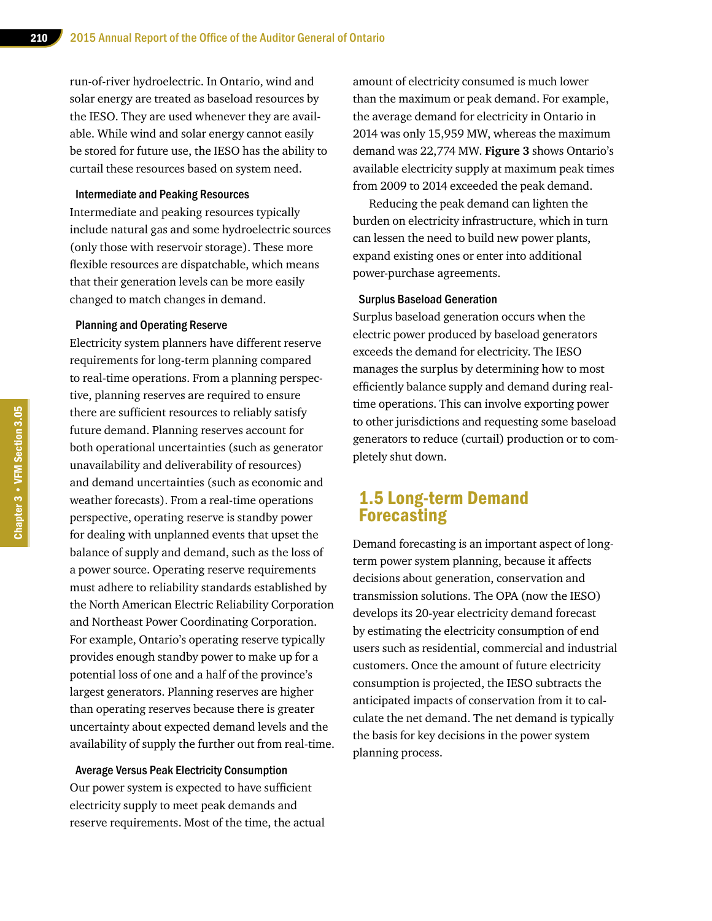run-of-river hydroelectric. In Ontario, wind and solar energy are treated as baseload resources by the IESO. They are used whenever they are available. While wind and solar energy cannot easily be stored for future use, the IESO has the ability to curtail these resources based on system need.

#### Intermediate and Peaking Resources

Intermediate and peaking resources typically include natural gas and some hydroelectric sources (only those with reservoir storage). These more flexible resources are dispatchable, which means that their generation levels can be more easily changed to match changes in demand.

#### Planning and Operating Reserve

Electricity system planners have different reserve requirements for long-term planning compared to real-time operations. From a planning perspective, planning reserves are required to ensure there are sufficient resources to reliably satisfy future demand. Planning reserves account for both operational uncertainties (such as generator unavailability and deliverability of resources) and demand uncertainties (such as economic and weather forecasts). From a real-time operations perspective, operating reserve is standby power for dealing with unplanned events that upset the balance of supply and demand, such as the loss of a power source. Operating reserve requirements must adhere to reliability standards established by the North American Electric Reliability Corporation and Northeast Power Coordinating Corporation. For example, Ontario's operating reserve typically provides enough standby power to make up for a potential loss of one and a half of the province's largest generators. Planning reserves are higher than operating reserves because there is greater uncertainty about expected demand levels and the availability of supply the further out from real-time.

Average Versus Peak Electricity Consumption Our power system is expected to have sufficient electricity supply to meet peak demands and reserve requirements. Most of the time, the actual amount of electricity consumed is much lower than the maximum or peak demand. For example, the average demand for electricity in Ontario in 2014 was only 15,959 MW, whereas the maximum demand was 22,774 MW. **Figure 3** shows Ontario's available electricity supply at maximum peak times from 2009 to 2014 exceeded the peak demand.

Reducing the peak demand can lighten the burden on electricity infrastructure, which in turn can lessen the need to build new power plants, expand existing ones or enter into additional power-purchase agreements.

#### Surplus Baseload Generation

Surplus baseload generation occurs when the electric power produced by baseload generators exceeds the demand for electricity. The IESO manages the surplus by determining how to most efficiently balance supply and demand during realtime operations. This can involve exporting power to other jurisdictions and requesting some baseload generators to reduce (curtail) production or to completely shut down.

## 1.5 Long-term Demand Forecasting

Demand forecasting is an important aspect of longterm power system planning, because it affects decisions about generation, conservation and transmission solutions. The OPA (now the IESO) develops its 20-year electricity demand forecast by estimating the electricity consumption of end users such as residential, commercial and industrial customers. Once the amount of future electricity consumption is projected, the IESO subtracts the anticipated impacts of conservation from it to calculate the net demand. The net demand is typically the basis for key decisions in the power system planning process.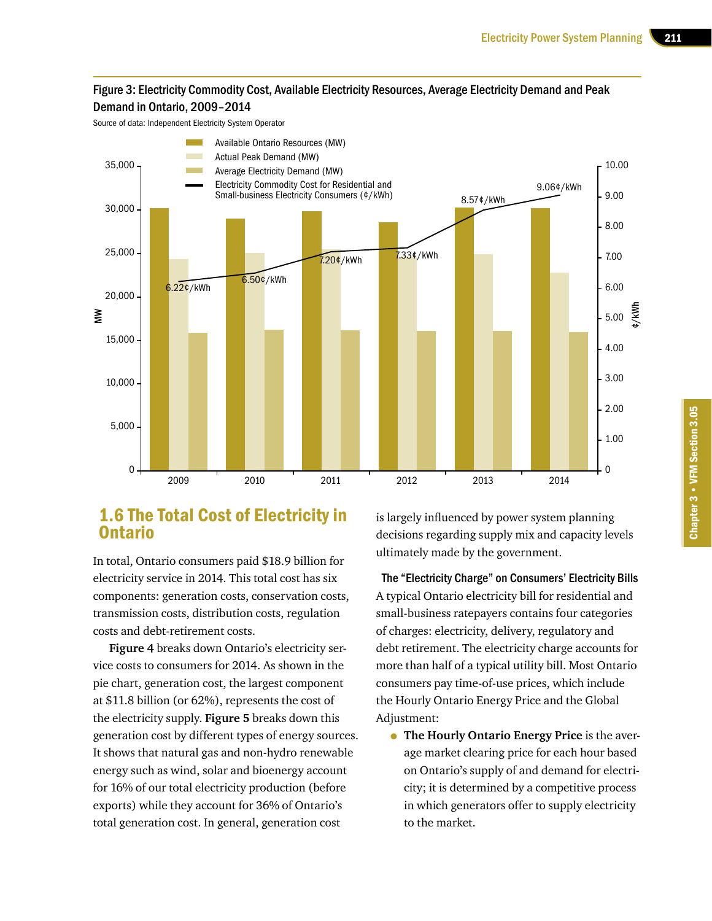#### Figure 3: Electricity Commodity Cost, Available Electricity Resources, Average Electricity Demand and Peak Demand in Ontario, 2009–2014

Source of data: Independent Electricity System Operator



## 1.6 The Total Cost of Electricity in Ontario

In total, Ontario consumers paid \$18.9 billion for electricity service in 2014. This total cost has six components: generation costs, conservation costs, transmission costs, distribution costs, regulation costs and debt-retirement costs.

**Figure 4** breaks down Ontario's electricity service costs to consumers for 2014. As shown in the pie chart, generation cost, the largest component at \$11.8 billion (or 62%), represents the cost of the electricity supply. **Figure 5** breaks down this generation cost by different types of energy sources. It shows that natural gas and non-hydro renewable energy such as wind, solar and bioenergy account for 16% of our total electricity production (before exports) while they account for 36% of Ontario's total generation cost. In general, generation cost

is largely influenced by power system planning decisions regarding supply mix and capacity levels ultimately made by the government.

The "Electricity Charge" on Consumers' Electricity Bills A typical Ontario electricity bill for residential and small-business ratepayers contains four categories of charges: electricity, delivery, regulatory and debt retirement. The electricity charge accounts for more than half of a typical utility bill. Most Ontario consumers pay time-of-use prices, which include the Hourly Ontario Energy Price and the Global Adjustment:

• **The Hourly Ontario Energy Price** is the average market clearing price for each hour based on Ontario's supply of and demand for electricity; it is determined by a competitive process in which generators offer to supply electricity to the market.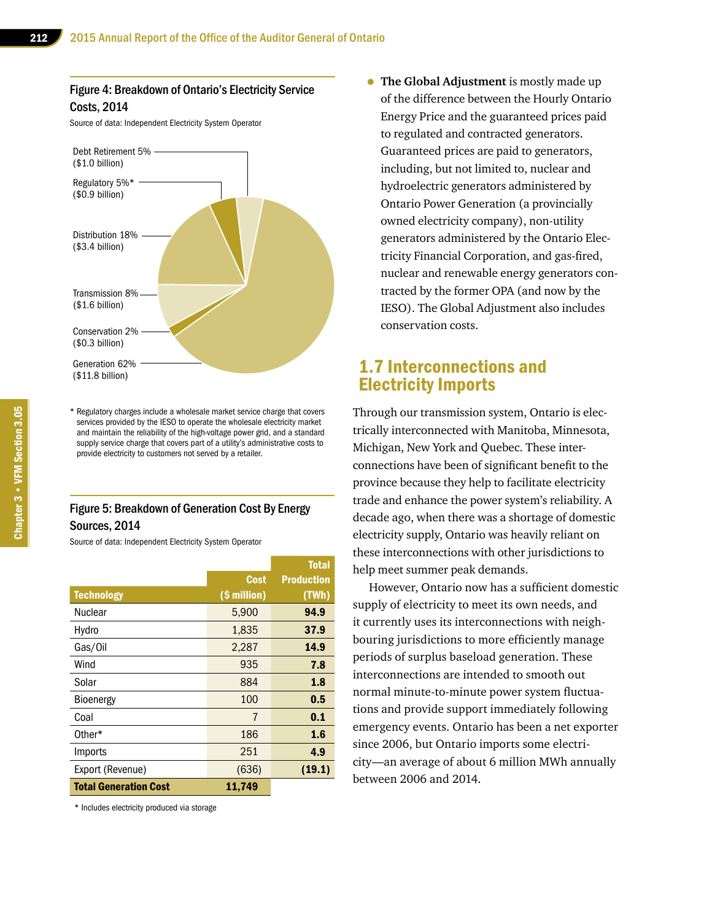#### Figure 4: Breakdown of Ontario's Electricity Service Costs, 2014

Source of data: Independent Electricity System Operator



\* Regulatory charges include a wholesale market service charge that covers services provided by the IESO to operate the wholesale electricity market and maintain the reliability of the high-voltage power grid, and a standard supply service charge that covers part of a utility's administrative costs to provide electricity to customers not served by a retailer.

#### Figure 5: Breakdown of Generation Cost By Energy Sources, 2014

Source of data: Independent Electricity System Operator

|                              |              | <b>Total</b>      |
|------------------------------|--------------|-------------------|
|                              | <b>Cost</b>  | <b>Production</b> |
| <b>Technology</b>            | (\$ million) | (TWh)             |
| <b>Nuclear</b>               | 5,900        | 94.9              |
| Hydro                        | 1,835        | 37.9              |
| Gas/Oil                      | 2,287        | 14.9              |
| Wind                         | 935          | 7.8               |
| Solar                        | 884          | 1.8               |
| Bioenergy                    | 100          | 0.5               |
| Coal                         | 7            | 0.1               |
| Other*                       | 186          | 1.6               |
| Imports                      | 251          | 4.9               |
| Export (Revenue)             | (636)        | (19.1)            |
| <b>Total Generation Cost</b> | 11,749       |                   |

\* Includes electricity produced via storage

• **The Global Adjustment** is mostly made up of the difference between the Hourly Ontario Energy Price and the guaranteed prices paid to regulated and contracted generators. Guaranteed prices are paid to generators, including, but not limited to, nuclear and hydroelectric generators administered by Ontario Power Generation (a provincially owned electricity company), non-utility generators administered by the Ontario Electricity Financial Corporation, and gas-fired, nuclear and renewable energy generators contracted by the former OPA (and now by the IESO). The Global Adjustment also includes conservation costs.

## 1.7 Interconnections and Electricity Imports

Through our transmission system, Ontario is electrically interconnected with Manitoba, Minnesota, Michigan, New York and Quebec. These interconnections have been of significant benefit to the province because they help to facilitate electricity trade and enhance the power system's reliability. A decade ago, when there was a shortage of domestic electricity supply, Ontario was heavily reliant on these interconnections with other jurisdictions to help meet summer peak demands.

However, Ontario now has a sufficient domestic supply of electricity to meet its own needs, and it currently uses its interconnections with neighbouring jurisdictions to more efficiently manage periods of surplus baseload generation. These interconnections are intended to smooth out normal minute-to-minute power system fluctuations and provide support immediately following emergency events. Ontario has been a net exporter since 2006, but Ontario imports some electricity—an average of about 6 million MWh annually between 2006 and 2014.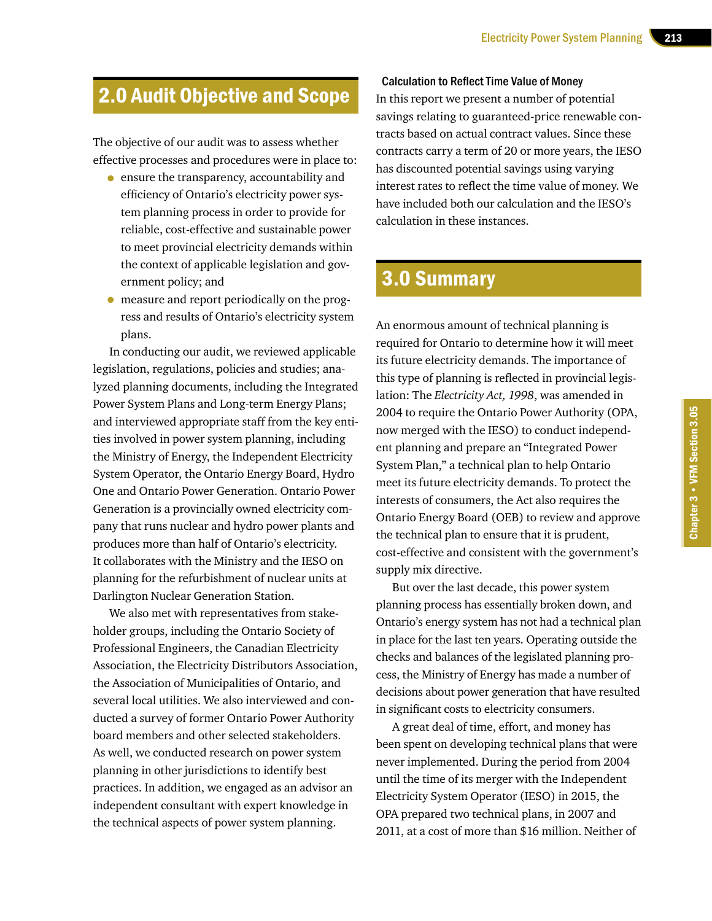# 2.0 Audit Objective and Scope

The objective of our audit was to assess whether effective processes and procedures were in place to:

- ensure the transparency, accountability and efficiency of Ontario's electricity power system planning process in order to provide for reliable, cost-effective and sustainable power to meet provincial electricity demands within the context of applicable legislation and government policy; and
- measure and report periodically on the progress and results of Ontario's electricity system plans.

In conducting our audit, we reviewed applicable legislation, regulations, policies and studies; analyzed planning documents, including the Integrated Power System Plans and Long-term Energy Plans; and interviewed appropriate staff from the key entities involved in power system planning, including the Ministry of Energy, the Independent Electricity System Operator, the Ontario Energy Board, Hydro One and Ontario Power Generation. Ontario Power Generation is a provincially owned electricity company that runs nuclear and hydro power plants and produces more than half of Ontario's electricity. It collaborates with the Ministry and the IESO on planning for the refurbishment of nuclear units at Darlington Nuclear Generation Station.

We also met with representatives from stakeholder groups, including the Ontario Society of Professional Engineers, the Canadian Electricity Association, the Electricity Distributors Association, the Association of Municipalities of Ontario, and several local utilities. We also interviewed and conducted a survey of former Ontario Power Authority board members and other selected stakeholders. As well, we conducted research on power system planning in other jurisdictions to identify best practices. In addition, we engaged as an advisor an independent consultant with expert knowledge in the technical aspects of power system planning.

Calculation to Reflect Time Value of Money

In this report we present a number of potential savings relating to guaranteed-price renewable contracts based on actual contract values. Since these contracts carry a term of 20 or more years, the IESO has discounted potential savings using varying interest rates to reflect the time value of money. We have included both our calculation and the IESO's calculation in these instances.

# 3.0 Summary

An enormous amount of technical planning is required for Ontario to determine how it will meet its future electricity demands. The importance of this type of planning is reflected in provincial legislation: The *Electricity Act, 1998*, was amended in 2004 to require the Ontario Power Authority (OPA, now merged with the IESO) to conduct independent planning and prepare an "Integrated Power System Plan," a technical plan to help Ontario meet its future electricity demands. To protect the interests of consumers, the Act also requires the Ontario Energy Board (OEB) to review and approve the technical plan to ensure that it is prudent, cost-effective and consistent with the government's supply mix directive.

But over the last decade, this power system planning process has essentially broken down, and Ontario's energy system has not had a technical plan in place for the last ten years. Operating outside the checks and balances of the legislated planning process, the Ministry of Energy has made a number of decisions about power generation that have resulted in significant costs to electricity consumers.

A great deal of time, effort, and money has been spent on developing technical plans that were never implemented. During the period from 2004 until the time of its merger with the Independent Electricity System Operator (IESO) in 2015, the OPA prepared two technical plans, in 2007 and 2011, at a cost of more than \$16 million. Neither of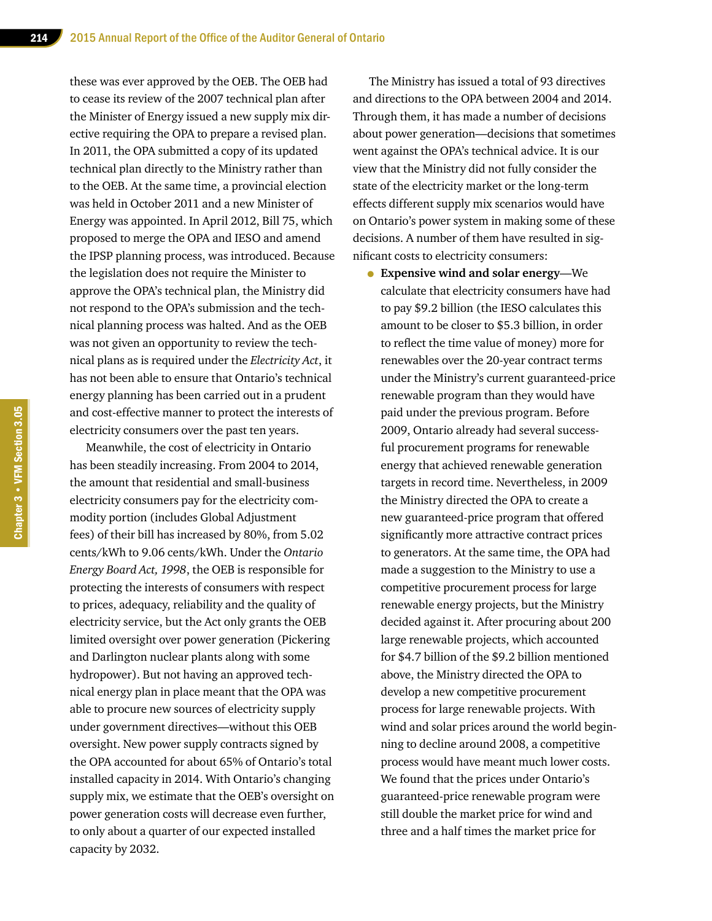these was ever approved by the OEB. The OEB had to cease its review of the 2007 technical plan after the Minister of Energy issued a new supply mix directive requiring the OPA to prepare a revised plan. In 2011, the OPA submitted a copy of its updated technical plan directly to the Ministry rather than to the OEB. At the same time, a provincial election was held in October 2011 and a new Minister of Energy was appointed. In April 2012, Bill 75, which proposed to merge the OPA and IESO and amend the IPSP planning process, was introduced. Because the legislation does not require the Minister to approve the OPA's technical plan, the Ministry did not respond to the OPA's submission and the technical planning process was halted. And as the OEB was not given an opportunity to review the technical plans as is required under the *Electricity Act*, it has not been able to ensure that Ontario's technical energy planning has been carried out in a prudent and cost-effective manner to protect the interests of electricity consumers over the past ten years.

Meanwhile, the cost of electricity in Ontario has been steadily increasing. From 2004 to 2014, the amount that residential and small-business electricity consumers pay for the electricity commodity portion (includes Global Adjustment fees) of their bill has increased by 80%, from 5.02 cents/kWh to 9.06 cents/kWh. Under the *Ontario Energy Board Act, 1998*, the OEB is responsible for protecting the interests of consumers with respect to prices, adequacy, reliability and the quality of electricity service, but the Act only grants the OEB limited oversight over power generation (Pickering and Darlington nuclear plants along with some hydropower). But not having an approved technical energy plan in place meant that the OPA was able to procure new sources of electricity supply under government directives—without this OEB oversight. New power supply contracts signed by the OPA accounted for about 65% of Ontario's total installed capacity in 2014. With Ontario's changing supply mix, we estimate that the OEB's oversight on power generation costs will decrease even further, to only about a quarter of our expected installed capacity by 2032.

The Ministry has issued a total of 93 directives and directions to the OPA between 2004 and 2014. Through them, it has made a number of decisions about power generation—decisions that sometimes went against the OPA's technical advice. It is our view that the Ministry did not fully consider the state of the electricity market or the long-term effects different supply mix scenarios would have on Ontario's power system in making some of these decisions. A number of them have resulted in significant costs to electricity consumers:

• **Expensive wind and solar energy**—We calculate that electricity consumers have had to pay \$9.2 billion (the IESO calculates this amount to be closer to \$5.3 billion, in order to reflect the time value of money) more for renewables over the 20-year contract terms under the Ministry's current guaranteed-price renewable program than they would have paid under the previous program. Before 2009, Ontario already had several successful procurement programs for renewable energy that achieved renewable generation targets in record time. Nevertheless, in 2009 the Ministry directed the OPA to create a new guaranteed-price program that offered significantly more attractive contract prices to generators. At the same time, the OPA had made a suggestion to the Ministry to use a competitive procurement process for large renewable energy projects, but the Ministry decided against it. After procuring about 200 large renewable projects, which accounted for \$4.7 billion of the \$9.2 billion mentioned above, the Ministry directed the OPA to develop a new competitive procurement process for large renewable projects. With wind and solar prices around the world beginning to decline around 2008, a competitive process would have meant much lower costs. We found that the prices under Ontario's guaranteed-price renewable program were still double the market price for wind and three and a half times the market price for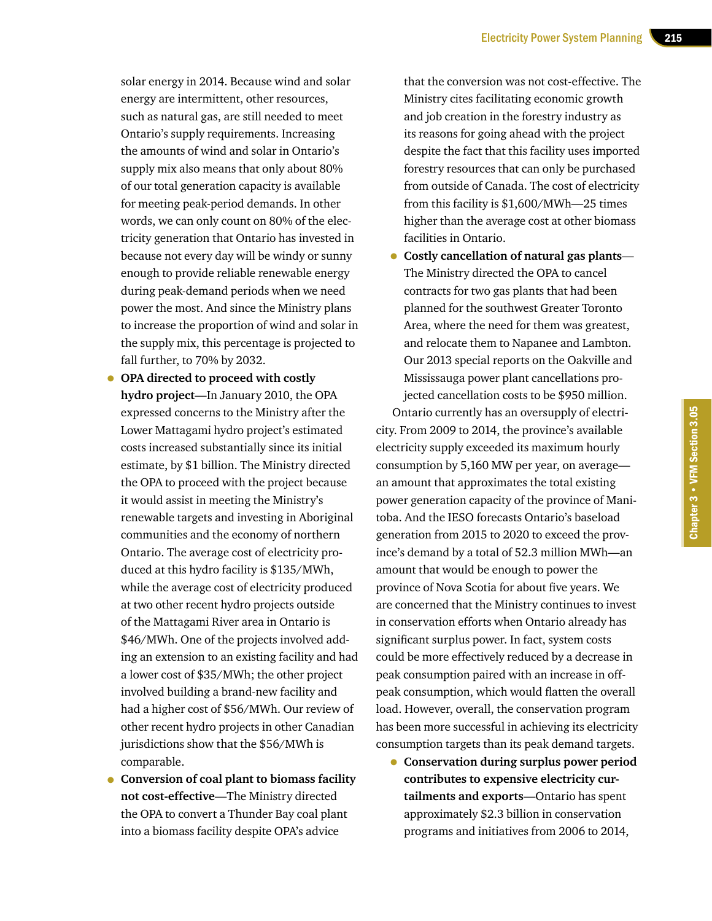solar energy in 2014. Because wind and solar energy are intermittent, other resources, such as natural gas, are still needed to meet Ontario's supply requirements. Increasing the amounts of wind and solar in Ontario's supply mix also means that only about 80% of our total generation capacity is available for meeting peak-period demands. In other words, we can only count on 80% of the electricity generation that Ontario has invested in because not every day will be windy or sunny enough to provide reliable renewable energy during peak-demand periods when we need power the most. And since the Ministry plans to increase the proportion of wind and solar in the supply mix, this percentage is projected to fall further, to 70% by 2032.

- **OPA directed to proceed with costly hydro project**—In January 2010, the OPA expressed concerns to the Ministry after the Lower Mattagami hydro project's estimated costs increased substantially since its initial estimate, by \$1 billion. The Ministry directed the OPA to proceed with the project because it would assist in meeting the Ministry's renewable targets and investing in Aboriginal communities and the economy of northern Ontario. The average cost of electricity produced at this hydro facility is \$135/MWh, while the average cost of electricity produced at two other recent hydro projects outside of the Mattagami River area in Ontario is \$46/MWh. One of the projects involved adding an extension to an existing facility and had a lower cost of \$35/MWh; the other project involved building a brand-new facility and had a higher cost of \$56/MWh. Our review of other recent hydro projects in other Canadian jurisdictions show that the \$56/MWh is comparable.
- **Conversion of coal plant to biomass facility not cost-effective**—The Ministry directed the OPA to convert a Thunder Bay coal plant into a biomass facility despite OPA's advice

that the conversion was not cost-effective. The Ministry cites facilitating economic growth and job creation in the forestry industry as its reasons for going ahead with the project despite the fact that this facility uses imported forestry resources that can only be purchased from outside of Canada. The cost of electricity from this facility is \$1,600/MWh—25 times higher than the average cost at other biomass facilities in Ontario.

• **Costly cancellation of natural gas plants**— The Ministry directed the OPA to cancel contracts for two gas plants that had been planned for the southwest Greater Toronto Area, where the need for them was greatest, and relocate them to Napanee and Lambton. Our 2013 special reports on the Oakville and Mississauga power plant cancellations projected cancellation costs to be \$950 million.

Ontario currently has an oversupply of electricity. From 2009 to 2014, the province's available electricity supply exceeded its maximum hourly consumption by 5,160 MW per year, on average an amount that approximates the total existing power generation capacity of the province of Manitoba. And the IESO forecasts Ontario's baseload generation from 2015 to 2020 to exceed the province's demand by a total of 52.3 million MWh—an amount that would be enough to power the province of Nova Scotia for about five years. We are concerned that the Ministry continues to invest in conservation efforts when Ontario already has significant surplus power. In fact, system costs could be more effectively reduced by a decrease in peak consumption paired with an increase in offpeak consumption, which would flatten the overall load. However, overall, the conservation program has been more successful in achieving its electricity consumption targets than its peak demand targets.

• **Conservation during surplus power period contributes to expensive electricity curtailments and exports**—Ontario has spent approximately \$2.3 billion in conservation programs and initiatives from 2006 to 2014,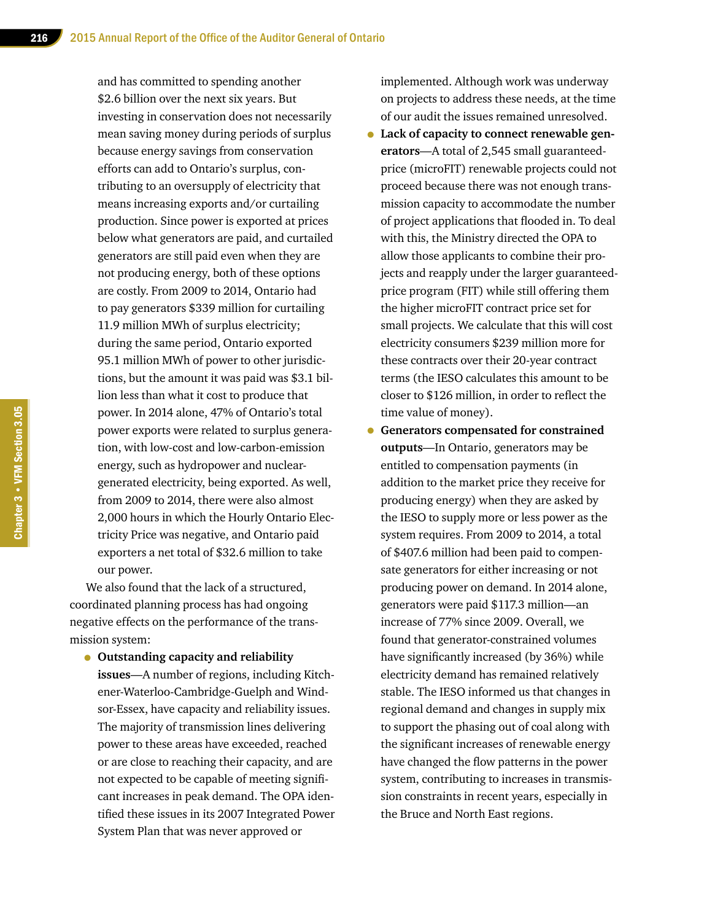and has committed to spending another \$2.6 billion over the next six years. But investing in conservation does not necessarily mean saving money during periods of surplus because energy savings from conservation efforts can add to Ontario's surplus, contributing to an oversupply of electricity that means increasing exports and/or curtailing production. Since power is exported at prices below what generators are paid, and curtailed generators are still paid even when they are not producing energy, both of these options are costly. From 2009 to 2014, Ontario had to pay generators \$339 million for curtailing 11.9 million MWh of surplus electricity; during the same period, Ontario exported 95.1 million MWh of power to other jurisdictions, but the amount it was paid was \$3.1 billion less than what it cost to produce that power. In 2014 alone, 47% of Ontario's total power exports were related to surplus generation, with low-cost and low-carbon-emission energy, such as hydropower and nucleargenerated electricity, being exported. As well, from 2009 to 2014, there were also almost 2,000 hours in which the Hourly Ontario Electricity Price was negative, and Ontario paid exporters a net total of \$32.6 million to take our power.

We also found that the lack of a structured, coordinated planning process has had ongoing negative effects on the performance of the transmission system:

• **Outstanding capacity and reliability issues**—A number of regions, including Kitchener-Waterloo-Cambridge-Guelph and Windsor-Essex, have capacity and reliability issues. The majority of transmission lines delivering power to these areas have exceeded, reached or are close to reaching their capacity, and are not expected to be capable of meeting significant increases in peak demand. The OPA identified these issues in its 2007 Integrated Power System Plan that was never approved or

implemented. Although work was underway on projects to address these needs, at the time of our audit the issues remained unresolved.

- **Lack of capacity to connect renewable generators**—A total of 2,545 small guaranteedprice (microFIT) renewable projects could not proceed because there was not enough transmission capacity to accommodate the number of project applications that flooded in. To deal with this, the Ministry directed the OPA to allow those applicants to combine their projects and reapply under the larger guaranteedprice program (FIT) while still offering them the higher microFIT contract price set for small projects. We calculate that this will cost electricity consumers \$239 million more for these contracts over their 20-year contract terms (the IESO calculates this amount to be closer to \$126 million, in order to reflect the time value of money).
- **Generators compensated for constrained outputs**—In Ontario, generators may be entitled to compensation payments (in addition to the market price they receive for producing energy) when they are asked by the IESO to supply more or less power as the system requires. From 2009 to 2014, a total of \$407.6 million had been paid to compensate generators for either increasing or not producing power on demand. In 2014 alone, generators were paid \$117.3 million—an increase of 77% since 2009. Overall, we found that generator-constrained volumes have significantly increased (by 36%) while electricity demand has remained relatively stable. The IESO informed us that changes in regional demand and changes in supply mix to support the phasing out of coal along with the significant increases of renewable energy have changed the flow patterns in the power system, contributing to increases in transmission constraints in recent years, especially in the Bruce and North East regions.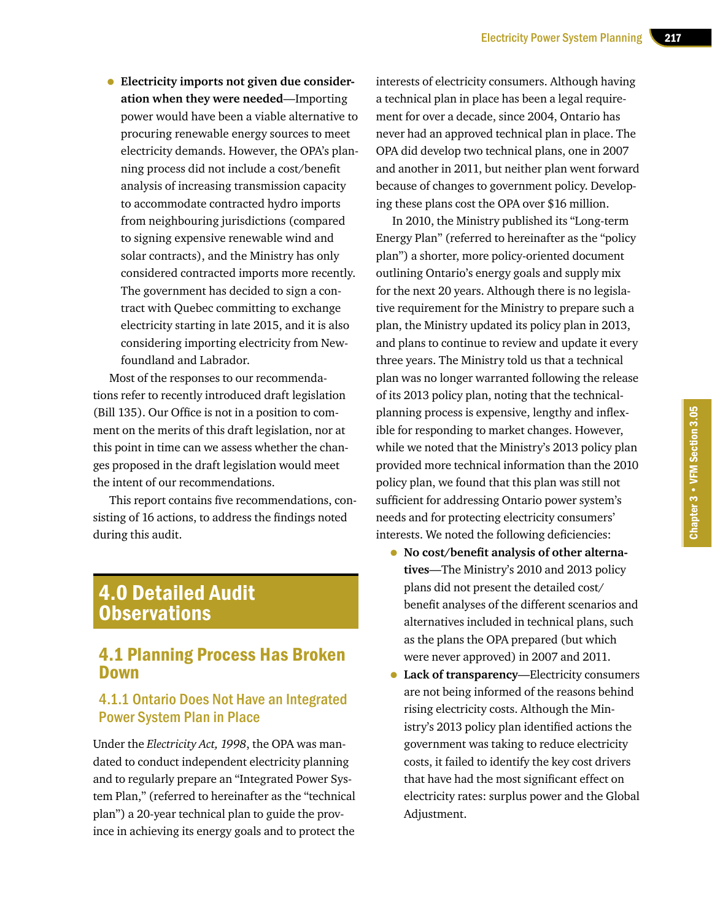• **Electricity imports not given due consideration when they were needed**—Importing power would have been a viable alternative to procuring renewable energy sources to meet electricity demands. However, the OPA's planning process did not include a cost/benefit analysis of increasing transmission capacity to accommodate contracted hydro imports from neighbouring jurisdictions (compared to signing expensive renewable wind and solar contracts), and the Ministry has only considered contracted imports more recently. The government has decided to sign a contract with Quebec committing to exchange electricity starting in late 2015, and it is also considering importing electricity from Newfoundland and Labrador.

Most of the responses to our recommendations refer to recently introduced draft legislation (Bill 135). Our Office is not in a position to comment on the merits of this draft legislation, nor at this point in time can we assess whether the changes proposed in the draft legislation would meet the intent of our recommendations.

This report contains five recommendations, consisting of 16 actions, to address the findings noted during this audit.

## 4.0 Detailed Audit **Observations**

## 4.1 Planning Process Has Broken Down

## 4.1.1 Ontario Does Not Have an Integrated Power System Plan in Place

Under the *Electricity Act, 1998*, the OPA was mandated to conduct independent electricity planning and to regularly prepare an "Integrated Power System Plan," (referred to hereinafter as the "technical plan") a 20-year technical plan to guide the province in achieving its energy goals and to protect the

interests of electricity consumers. Although having a technical plan in place has been a legal requirement for over a decade, since 2004, Ontario has never had an approved technical plan in place. The OPA did develop two technical plans, one in 2007 and another in 2011, but neither plan went forward because of changes to government policy. Developing these plans cost the OPA over \$16 million.

In 2010, the Ministry published its "Long-term Energy Plan" (referred to hereinafter as the "policy plan") a shorter, more policy-oriented document outlining Ontario's energy goals and supply mix for the next 20 years. Although there is no legislative requirement for the Ministry to prepare such a plan, the Ministry updated its policy plan in 2013, and plans to continue to review and update it every three years. The Ministry told us that a technical plan was no longer warranted following the release of its 2013 policy plan, noting that the technicalplanning process is expensive, lengthy and inflexible for responding to market changes. However, while we noted that the Ministry's 2013 policy plan provided more technical information than the 2010 policy plan, we found that this plan was still not sufficient for addressing Ontario power system's needs and for protecting electricity consumers' interests. We noted the following deficiencies:

- **No cost/benefit analysis of other alternatives**—The Ministry's 2010 and 2013 policy plans did not present the detailed cost/ benefit analyses of the different scenarios and alternatives included in technical plans, such as the plans the OPA prepared (but which were never approved) in 2007 and 2011.
- **Lack of transparency**—Electricity consumers are not being informed of the reasons behind rising electricity costs. Although the Ministry's 2013 policy plan identified actions the government was taking to reduce electricity costs, it failed to identify the key cost drivers that have had the most significant effect on electricity rates: surplus power and the Global Adjustment.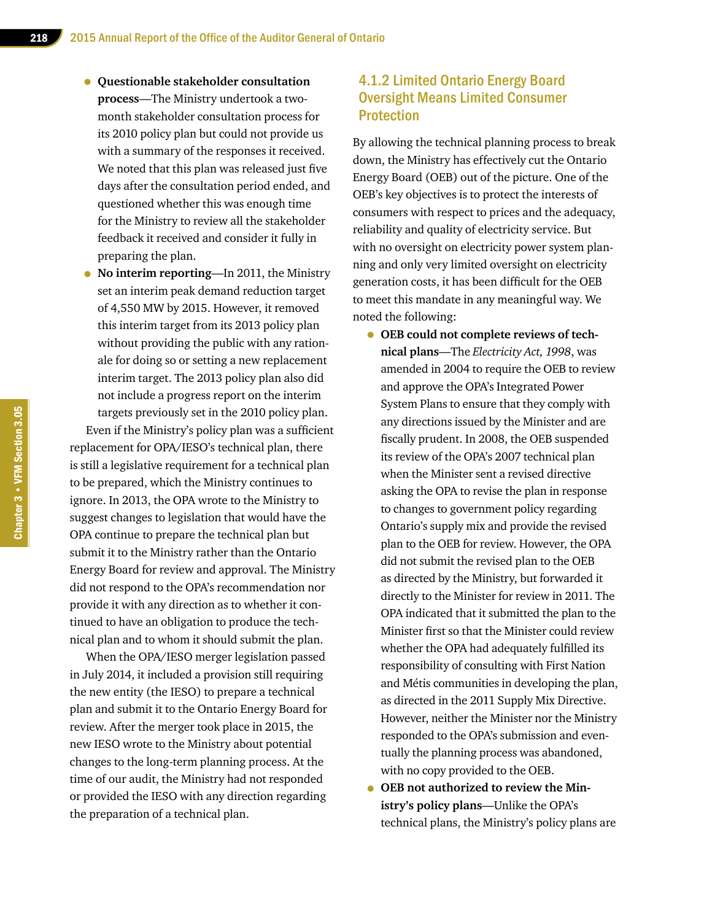- **Questionable stakeholder consultation process**—The Ministry undertook a twomonth stakeholder consultation process for its 2010 policy plan but could not provide us with a summary of the responses it received. We noted that this plan was released just five days after the consultation period ended, and questioned whether this was enough time for the Ministry to review all the stakeholder feedback it received and consider it fully in preparing the plan.
- **No interim reporting**—In 2011, the Ministry set an interim peak demand reduction target of 4,550 MW by 2015. However, it removed this interim target from its 2013 policy plan without providing the public with any rationale for doing so or setting a new replacement interim target. The 2013 policy plan also did not include a progress report on the interim targets previously set in the 2010 policy plan.

Even if the Ministry's policy plan was a sufficient replacement for OPA/IESO's technical plan, there is still a legislative requirement for a technical plan to be prepared, which the Ministry continues to ignore. In 2013, the OPA wrote to the Ministry to suggest changes to legislation that would have the OPA continue to prepare the technical plan but submit it to the Ministry rather than the Ontario Energy Board for review and approval. The Ministry did not respond to the OPA's recommendation nor provide it with any direction as to whether it continued to have an obligation to produce the technical plan and to whom it should submit the plan.

When the OPA/IESO merger legislation passed in July 2014, it included a provision still requiring the new entity (the IESO) to prepare a technical plan and submit it to the Ontario Energy Board for review. After the merger took place in 2015, the new IESO wrote to the Ministry about potential changes to the long-term planning process. At the time of our audit, the Ministry had not responded or provided the IESO with any direction regarding the preparation of a technical plan.

## 4.1.2 Limited Ontario Energy Board Oversight Means Limited Consumer Protection

By allowing the technical planning process to break down, the Ministry has effectively cut the Ontario Energy Board (OEB) out of the picture. One of the OEB's key objectives is to protect the interests of consumers with respect to prices and the adequacy, reliability and quality of electricity service. But with no oversight on electricity power system planning and only very limited oversight on electricity generation costs, it has been difficult for the OEB to meet this mandate in any meaningful way. We noted the following:

- **OEB could not complete reviews of technical plans**—The *Electricity Act, 1998*, was amended in 2004 to require the OEB to review and approve the OPA's Integrated Power System Plans to ensure that they comply with any directions issued by the Minister and are fiscally prudent. In 2008, the OEB suspended its review of the OPA's 2007 technical plan when the Minister sent a revised directive asking the OPA to revise the plan in response to changes to government policy regarding Ontario's supply mix and provide the revised plan to the OEB for review. However, the OPA did not submit the revised plan to the OEB as directed by the Ministry, but forwarded it directly to the Minister for review in 2011. The OPA indicated that it submitted the plan to the Minister first so that the Minister could review whether the OPA had adequately fulfilled its responsibility of consulting with First Nation and Métis communities in developing the plan, as directed in the 2011 Supply Mix Directive. However, neither the Minister nor the Ministry responded to the OPA's submission and eventually the planning process was abandoned, with no copy provided to the OEB.
- **OEB not authorized to review the Ministry's policy plans**—Unlike the OPA's technical plans, the Ministry's policy plans are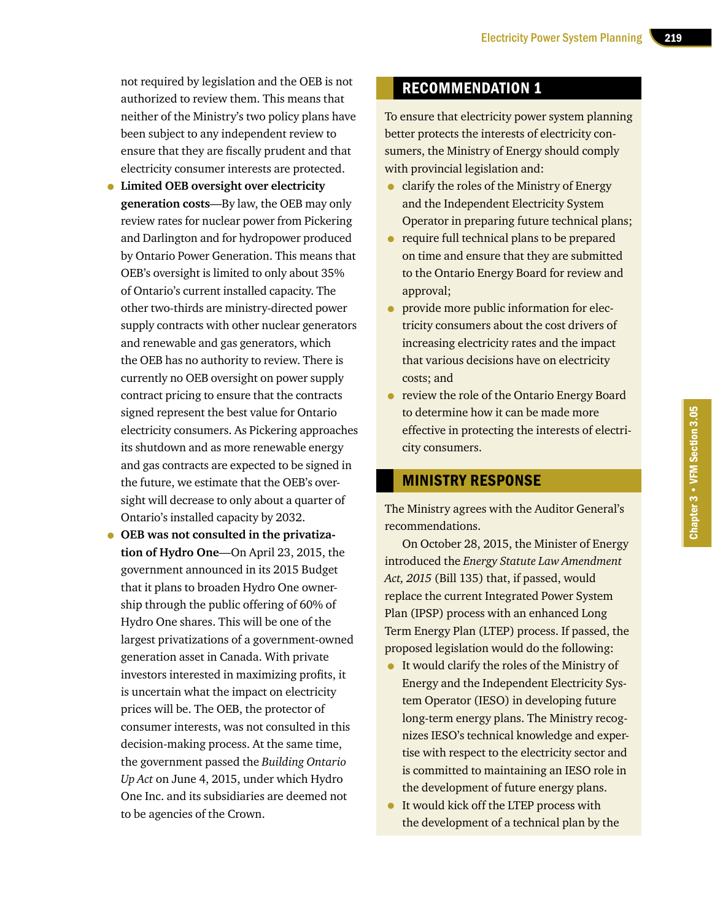not required by legislation and the OEB is not authorized to review them. This means that neither of the Ministry's two policy plans have been subject to any independent review to ensure that they are fiscally prudent and that electricity consumer interests are protected.

- **Limited OEB oversight over electricity generation costs**—By law, the OEB may only review rates for nuclear power from Pickering and Darlington and for hydropower produced by Ontario Power Generation. This means that OEB's oversight is limited to only about 35% of Ontario's current installed capacity. The other two-thirds are ministry-directed power supply contracts with other nuclear generators and renewable and gas generators, which the OEB has no authority to review. There is currently no OEB oversight on power supply contract pricing to ensure that the contracts signed represent the best value for Ontario electricity consumers. As Pickering approaches its shutdown and as more renewable energy and gas contracts are expected to be signed in the future, we estimate that the OEB's oversight will decrease to only about a quarter of Ontario's installed capacity by 2032.
- **OEB was not consulted in the privatization of Hydro One**—On April 23, 2015, the government announced in its 2015 Budget that it plans to broaden Hydro One ownership through the public offering of 60% of Hydro One shares. This will be one of the largest privatizations of a government-owned generation asset in Canada. With private investors interested in maximizing profits, it is uncertain what the impact on electricity prices will be. The OEB, the protector of consumer interests, was not consulted in this decision-making process. At the same time, the government passed the *Building Ontario Up Act* on June 4, 2015, under which Hydro One Inc. and its subsidiaries are deemed not to be agencies of the Crown.

## RECOMMENDATION 1

To ensure that electricity power system planning better protects the interests of electricity consumers, the Ministry of Energy should comply with provincial legislation and:

- clarify the roles of the Ministry of Energy and the Independent Electricity System Operator in preparing future technical plans;
- require full technical plans to be prepared on time and ensure that they are submitted to the Ontario Energy Board for review and approval;
- provide more public information for electricity consumers about the cost drivers of increasing electricity rates and the impact that various decisions have on electricity costs; and
- review the role of the Ontario Energy Board to determine how it can be made more effective in protecting the interests of electricity consumers.

## MINISTRY RESPONSE

The Ministry agrees with the Auditor General's recommendations.

On October 28, 2015, the Minister of Energy introduced the *Energy Statute Law Amendment Act, 2015* (Bill 135) that, if passed, would replace the current Integrated Power System Plan (IPSP) process with an enhanced Long Term Energy Plan (LTEP) process. If passed, the proposed legislation would do the following:

- It would clarify the roles of the Ministry of Energy and the Independent Electricity System Operator (IESO) in developing future long-term energy plans. The Ministry recognizes IESO's technical knowledge and expertise with respect to the electricity sector and is committed to maintaining an IESO role in the development of future energy plans.
- It would kick off the LTEP process with the development of a technical plan by the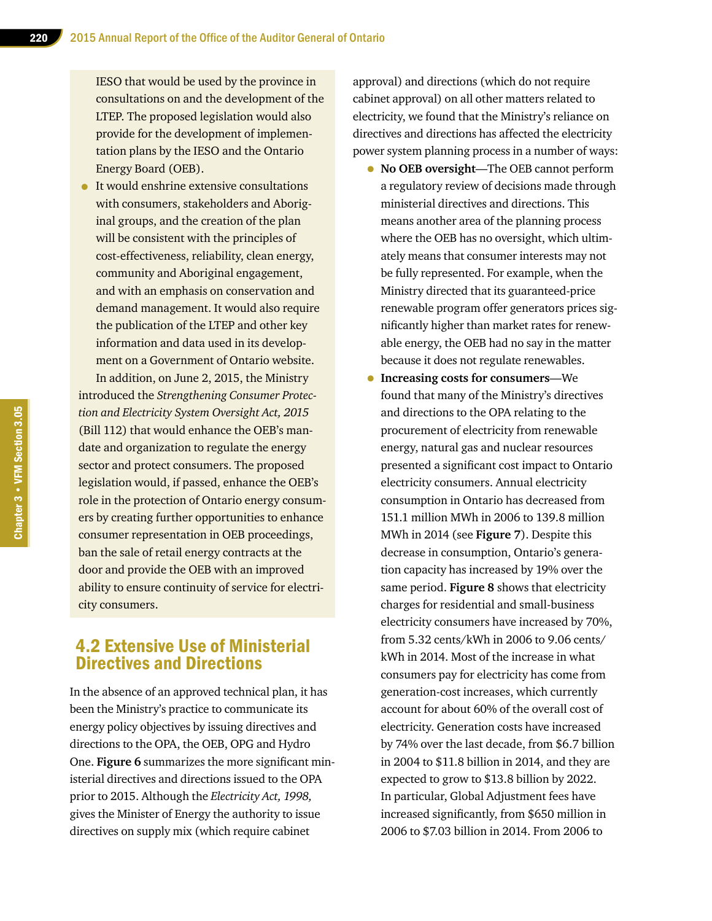IESO that would be used by the province in consultations on and the development of the LTEP. The proposed legislation would also provide for the development of implementation plans by the IESO and the Ontario Energy Board (OEB).

• It would enshrine extensive consultations with consumers, stakeholders and Aboriginal groups, and the creation of the plan will be consistent with the principles of cost-effectiveness, reliability, clean energy, community and Aboriginal engagement, and with an emphasis on conservation and demand management. It would also require the publication of the LTEP and other key information and data used in its development on a Government of Ontario website. In addition, on June 2, 2015, the Ministry introduced the *Strengthening Consumer Protection and Electricity System Oversight Act, 2015* (Bill 112) that would enhance the OEB's mandate and organization to regulate the energy sector and protect consumers. The proposed legislation would, if passed, enhance the OEB's role in the protection of Ontario energy consumers by creating further opportunities to enhance consumer representation in OEB proceedings, ban the sale of retail energy contracts at the door and provide the OEB with an improved ability to ensure continuity of service for electricity consumers.

## 4.2 Extensive Use of Ministerial Directives and Directions

In the absence of an approved technical plan, it has been the Ministry's practice to communicate its energy policy objectives by issuing directives and directions to the OPA, the OEB, OPG and Hydro One. **Figure 6** summarizes the more significant ministerial directives and directions issued to the OPA prior to 2015. Although the *Electricity Act, 1998,*  gives the Minister of Energy the authority to issue directives on supply mix (which require cabinet

approval) and directions (which do not require cabinet approval) on all other matters related to electricity, we found that the Ministry's reliance on directives and directions has affected the electricity power system planning process in a number of ways:

- **No OEB oversight**—The OEB cannot perform a regulatory review of decisions made through ministerial directives and directions. This means another area of the planning process where the OEB has no oversight, which ultimately means that consumer interests may not be fully represented. For example, when the Ministry directed that its guaranteed-price renewable program offer generators prices significantly higher than market rates for renewable energy, the OEB had no say in the matter because it does not regulate renewables.
- **Increasing costs for consumers**—We found that many of the Ministry's directives and directions to the OPA relating to the procurement of electricity from renewable energy, natural gas and nuclear resources presented a significant cost impact to Ontario electricity consumers. Annual electricity consumption in Ontario has decreased from 151.1 million MWh in 2006 to 139.8 million MWh in 2014 (see **Figure 7**). Despite this decrease in consumption, Ontario's generation capacity has increased by 19% over the same period. **Figure 8** shows that electricity charges for residential and small-business electricity consumers have increased by 70%, from 5.32 cents/kWh in 2006 to 9.06 cents/ kWh in 2014. Most of the increase in what consumers pay for electricity has come from generation-cost increases, which currently account for about 60% of the overall cost of electricity. Generation costs have increased by 74% over the last decade, from \$6.7 billion in 2004 to \$11.8 billion in 2014, and they are expected to grow to \$13.8 billion by 2022. In particular, Global Adjustment fees have increased significantly, from \$650 million in 2006 to \$7.03 billion in 2014. From 2006 to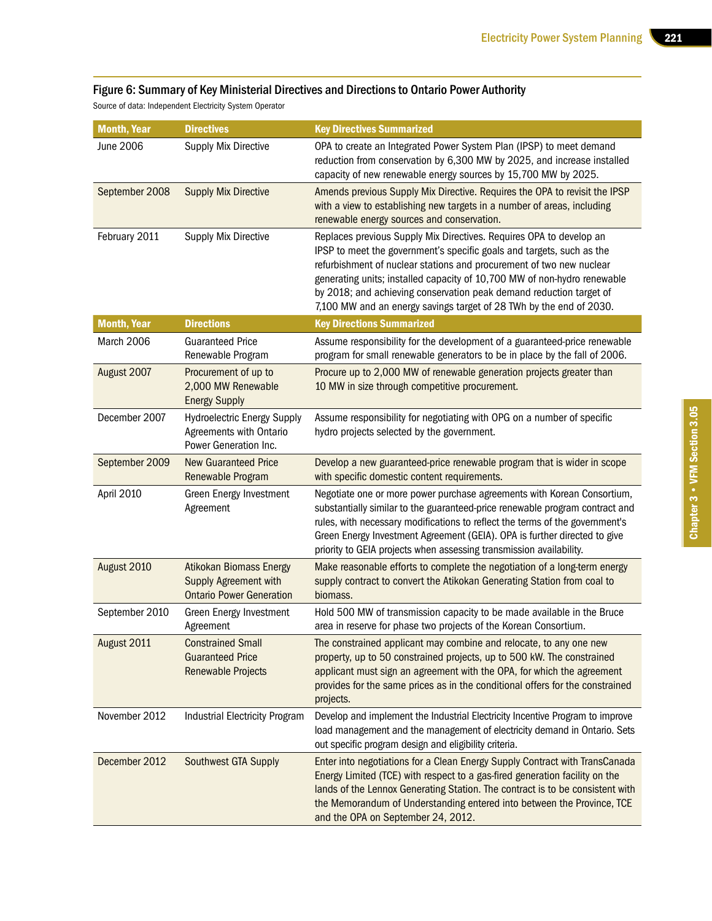#### Figure 6: Summary of Key Ministerial Directives and Directions to Ontario Power Authority

Source of data: Independent Electricity System Operator

| <b>Month, Year</b> | <b>Directives</b>                                                                                 | <b>Key Directives Summarized</b>                                                                                                                                                                                                                                                                                                                                                                                                               |
|--------------------|---------------------------------------------------------------------------------------------------|------------------------------------------------------------------------------------------------------------------------------------------------------------------------------------------------------------------------------------------------------------------------------------------------------------------------------------------------------------------------------------------------------------------------------------------------|
| June 2006          | Supply Mix Directive                                                                              | OPA to create an Integrated Power System Plan (IPSP) to meet demand<br>reduction from conservation by 6,300 MW by 2025, and increase installed<br>capacity of new renewable energy sources by 15,700 MW by 2025.                                                                                                                                                                                                                               |
| September 2008     | <b>Supply Mix Directive</b>                                                                       | Amends previous Supply Mix Directive. Requires the OPA to revisit the IPSP<br>with a view to establishing new targets in a number of areas, including<br>renewable energy sources and conservation.                                                                                                                                                                                                                                            |
| February 2011      | <b>Supply Mix Directive</b>                                                                       | Replaces previous Supply Mix Directives. Requires OPA to develop an<br>IPSP to meet the government's specific goals and targets, such as the<br>refurbishment of nuclear stations and procurement of two new nuclear<br>generating units; installed capacity of 10,700 MW of non-hydro renewable<br>by 2018; and achieving conservation peak demand reduction target of<br>7,100 MW and an energy savings target of 28 TWh by the end of 2030. |
| <b>Month, Year</b> | <b>Directions</b>                                                                                 | <b>Key Directions Summarized</b>                                                                                                                                                                                                                                                                                                                                                                                                               |
| <b>March 2006</b>  | <b>Guaranteed Price</b><br>Renewable Program                                                      | Assume responsibility for the development of a guaranteed-price renewable<br>program for small renewable generators to be in place by the fall of 2006.                                                                                                                                                                                                                                                                                        |
| August 2007        | Procurement of up to<br>2,000 MW Renewable<br><b>Energy Supply</b>                                | Procure up to 2,000 MW of renewable generation projects greater than<br>10 MW in size through competitive procurement.                                                                                                                                                                                                                                                                                                                         |
| December 2007      | <b>Hydroelectric Energy Supply</b><br>Agreements with Ontario<br>Power Generation Inc.            | Assume responsibility for negotiating with OPG on a number of specific<br>hydro projects selected by the government.                                                                                                                                                                                                                                                                                                                           |
| September 2009     | <b>New Guaranteed Price</b><br>Renewable Program                                                  | Develop a new guaranteed-price renewable program that is wider in scope<br>with specific domestic content requirements.                                                                                                                                                                                                                                                                                                                        |
| April 2010         | <b>Green Energy Investment</b><br>Agreement                                                       | Negotiate one or more power purchase agreements with Korean Consortium,<br>substantially similar to the guaranteed-price renewable program contract and<br>rules, with necessary modifications to reflect the terms of the government's<br>Green Energy Investment Agreement (GEIA). OPA is further directed to give<br>priority to GEIA projects when assessing transmission availability.                                                    |
| August 2010        | <b>Atikokan Biomass Energy</b><br><b>Supply Agreement with</b><br><b>Ontario Power Generation</b> | Make reasonable efforts to complete the negotiation of a long-term energy<br>supply contract to convert the Atikokan Generating Station from coal to<br>biomass.                                                                                                                                                                                                                                                                               |
| September 2010     | Green Energy Investment<br>Agreement                                                              | Hold 500 MW of transmission capacity to be made available in the Bruce<br>area in reserve for phase two projects of the Korean Consortium.                                                                                                                                                                                                                                                                                                     |
| August 2011        | <b>Constrained Small</b><br><b>Guaranteed Price</b><br><b>Renewable Projects</b>                  | The constrained applicant may combine and relocate, to any one new<br>property, up to 50 constrained projects, up to 500 kW. The constrained<br>applicant must sign an agreement with the OPA, for which the agreement<br>provides for the same prices as in the conditional offers for the constrained<br>projects.                                                                                                                           |
| November 2012      | <b>Industrial Electricity Program</b>                                                             | Develop and implement the Industrial Electricity Incentive Program to improve<br>load management and the management of electricity demand in Ontario. Sets<br>out specific program design and eligibility criteria.                                                                                                                                                                                                                            |
| December 2012      | Southwest GTA Supply                                                                              | Enter into negotiations for a Clean Energy Supply Contract with TransCanada<br>Energy Limited (TCE) with respect to a gas-fired generation facility on the<br>lands of the Lennox Generating Station. The contract is to be consistent with<br>the Memorandum of Understanding entered into between the Province, TCE<br>and the OPA on September 24, 2012.                                                                                    |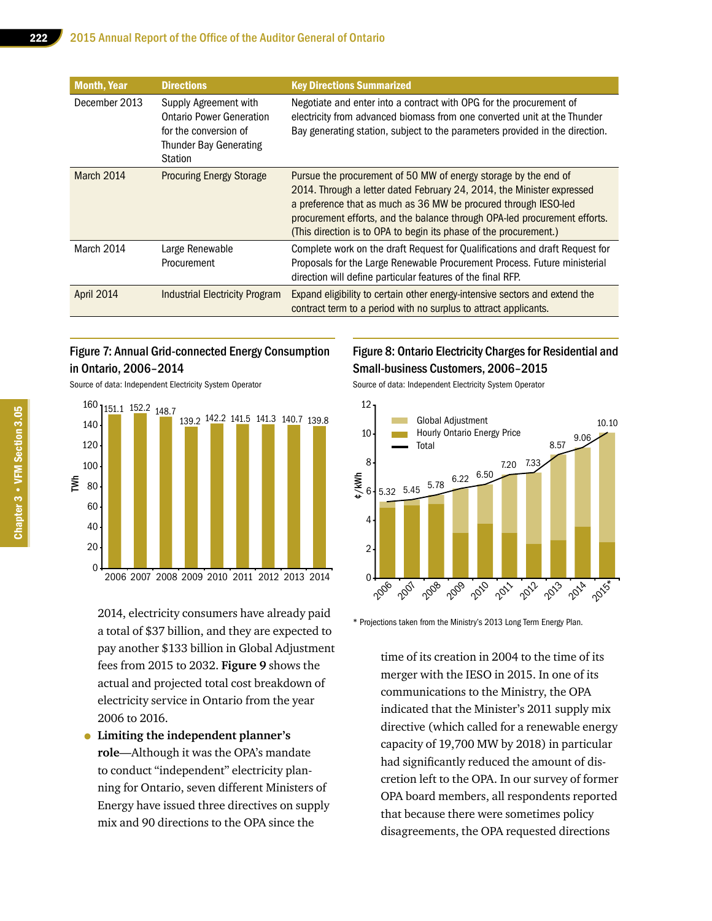| <b>Month, Year</b> | <b>Directions</b>                                                                                                             | <b>Key Directions Summarized</b>                                                                                                                                                                                                                                                                                                                               |
|--------------------|-------------------------------------------------------------------------------------------------------------------------------|----------------------------------------------------------------------------------------------------------------------------------------------------------------------------------------------------------------------------------------------------------------------------------------------------------------------------------------------------------------|
| December 2013      | Supply Agreement with<br><b>Ontario Power Generation</b><br>for the conversion of<br><b>Thunder Bay Generating</b><br>Station | Negotiate and enter into a contract with OPG for the procurement of<br>electricity from advanced biomass from one converted unit at the Thunder<br>Bay generating station, subject to the parameters provided in the direction.                                                                                                                                |
| March 2014         | <b>Procuring Energy Storage</b>                                                                                               | Pursue the procurement of 50 MW of energy storage by the end of<br>2014. Through a letter dated February 24, 2014, the Minister expressed<br>a preference that as much as 36 MW be procured through IESO-led<br>procurement efforts, and the balance through OPA-led procurement efforts.<br>(This direction is to OPA to begin its phase of the procurement.) |
| March 2014         | Large Renewable<br>Procurement                                                                                                | Complete work on the draft Request for Qualifications and draft Request for<br>Proposals for the Large Renewable Procurement Process. Future ministerial<br>direction will define particular features of the final RFP.                                                                                                                                        |
| <b>April 2014</b>  | <b>Industrial Electricity Program</b>                                                                                         | Expand eligibility to certain other energy-intensive sectors and extend the<br>contract term to a period with no surplus to attract applicants.                                                                                                                                                                                                                |

#### Figure 7: Annual Grid-connected Energy Consumption in Ontario, 2006–2014

Source of data: Independent Electricity System Operator



2014, electricity consumers have already paid a total of \$37 billion, and they are expected to pay another \$133 billion in Global Adjustment fees from 2015 to 2032. **Figure 9** shows the actual and projected total cost breakdown of electricity service in Ontario from the year 2006 to 2016.

• **Limiting the independent planner's role**—Although it was the OPA's mandate to conduct "independent" electricity planning for Ontario, seven different Ministers of Energy have issued three directives on supply mix and 90 directions to the OPA since the

## Figure 8: Ontario Electricity Charges for Residential and Small-business Customers, 2006–2015

Source of data: Independent Electricity System Operator



\* Projections taken from the Ministry's 2013 Long Term Energy Plan.

time of its creation in 2004 to the time of its merger with the IESO in 2015. In one of its communications to the Ministry, the OPA indicated that the Minister's 2011 supply mix directive (which called for a renewable energy capacity of 19,700 MW by 2018) in particular had significantly reduced the amount of discretion left to the OPA. In our survey of former OPA board members, all respondents reported that because there were sometimes policy disagreements, the OPA requested directions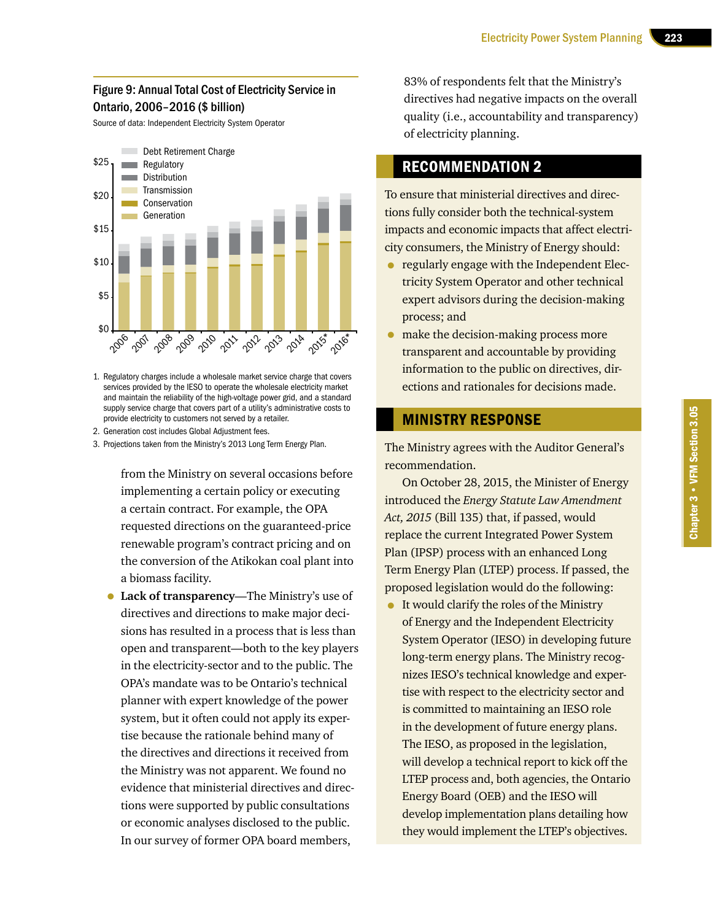#### Figure 9: Annual Total Cost of Electricity Service in Ontario, 2006–2016 (\$ billion)

Source of data: Independent Electricity System Operator



1. Regulatory charges include a wholesale market service charge that covers services provided by the IESO to operate the wholesale electricity market and maintain the reliability of the high-voltage power grid, and a standard supply service charge that covers part of a utility's administrative costs to provide electricity to customers not served by a retailer.

2. Generation cost includes Global Adjustment fees.

3. Projections taken from the Ministry's 2013 Long Term Energy Plan.

from the Ministry on several occasions before implementing a certain policy or executing a certain contract. For example, the OPA requested directions on the guaranteed-price renewable program's contract pricing and on the conversion of the Atikokan coal plant into a biomass facility.

• **Lack of transparency**—The Ministry's use of directives and directions to make major decisions has resulted in a process that is less than open and transparent—both to the key players in the electricity-sector and to the public. The OPA's mandate was to be Ontario's technical planner with expert knowledge of the power system, but it often could not apply its expertise because the rationale behind many of the directives and directions it received from the Ministry was not apparent. We found no evidence that ministerial directives and directions were supported by public consultations or economic analyses disclosed to the public. In our survey of former OPA board members,

83% of respondents felt that the Ministry's directives had negative impacts on the overall quality (i.e., accountability and transparency) of electricity planning.

## RECOMMENDATION 2

To ensure that ministerial directives and directions fully consider both the technical-system impacts and economic impacts that affect electricity consumers, the Ministry of Energy should:

- regularly engage with the Independent Electricity System Operator and other technical expert advisors during the decision-making process; and
- make the decision-making process more transparent and accountable by providing information to the public on directives, directions and rationales for decisions made.

#### MINISTRY RESPONSE

The Ministry agrees with the Auditor General's recommendation.

On October 28, 2015, the Minister of Energy introduced the *Energy Statute Law Amendment Act, 2015* (Bill 135) that, if passed, would replace the current Integrated Power System Plan (IPSP) process with an enhanced Long Term Energy Plan (LTEP) process. If passed, the proposed legislation would do the following:

• It would clarify the roles of the Ministry of Energy and the Independent Electricity System Operator (IESO) in developing future long-term energy plans. The Ministry recognizes IESO's technical knowledge and expertise with respect to the electricity sector and is committed to maintaining an IESO role in the development of future energy plans. The IESO, as proposed in the legislation, will develop a technical report to kick off the LTEP process and, both agencies, the Ontario Energy Board (OEB) and the IESO will develop implementation plans detailing how they would implement the LTEP's objectives.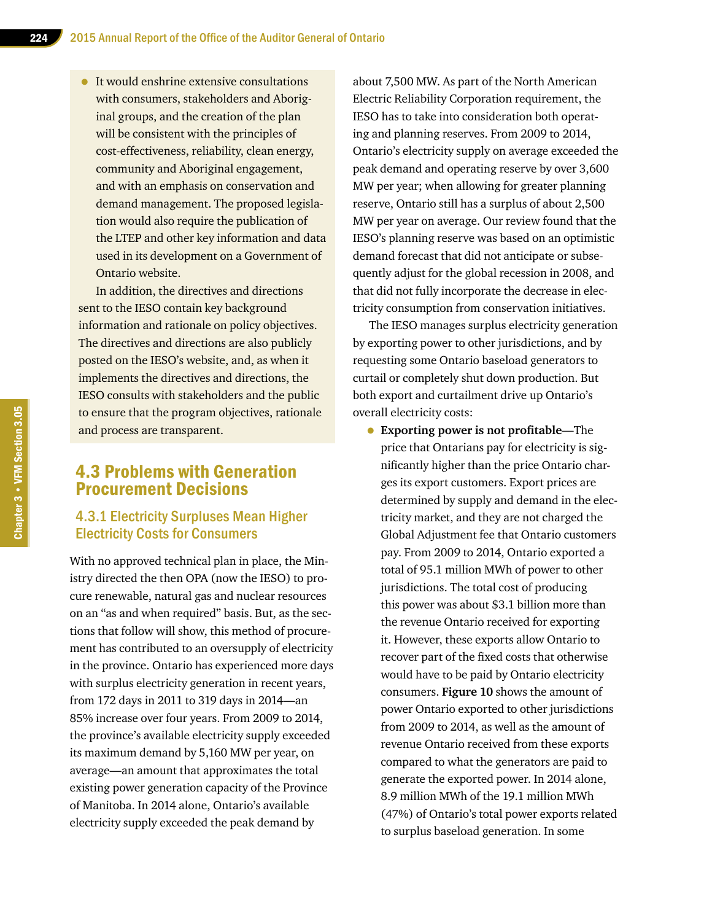• It would enshrine extensive consultations with consumers, stakeholders and Aboriginal groups, and the creation of the plan will be consistent with the principles of cost-effectiveness, reliability, clean energy, community and Aboriginal engagement, and with an emphasis on conservation and demand management. The proposed legislation would also require the publication of the LTEP and other key information and data used in its development on a Government of Ontario website.

In addition, the directives and directions sent to the IESO contain key background information and rationale on policy objectives. The directives and directions are also publicly posted on the IESO's website, and, as when it implements the directives and directions, the IESO consults with stakeholders and the public to ensure that the program objectives, rationale and process are transparent.

## 4.3 Problems with Generation Procurement Decisions

## 4.3.1 Electricity Surpluses Mean Higher Electricity Costs for Consumers

With no approved technical plan in place, the Ministry directed the then OPA (now the IESO) to procure renewable, natural gas and nuclear resources on an "as and when required" basis. But, as the sections that follow will show, this method of procurement has contributed to an oversupply of electricity in the province. Ontario has experienced more days with surplus electricity generation in recent years, from 172 days in 2011 to 319 days in 2014—an 85% increase over four years. From 2009 to 2014, the province's available electricity supply exceeded its maximum demand by 5,160 MW per year, on average—an amount that approximates the total existing power generation capacity of the Province of Manitoba. In 2014 alone, Ontario's available electricity supply exceeded the peak demand by

about 7,500 MW. As part of the North American Electric Reliability Corporation requirement, the IESO has to take into consideration both operating and planning reserves. From 2009 to 2014, Ontario's electricity supply on average exceeded the peak demand and operating reserve by over 3,600 MW per year; when allowing for greater planning reserve, Ontario still has a surplus of about 2,500 MW per year on average. Our review found that the IESO's planning reserve was based on an optimistic demand forecast that did not anticipate or subsequently adjust for the global recession in 2008, and that did not fully incorporate the decrease in electricity consumption from conservation initiatives.

The IESO manages surplus electricity generation by exporting power to other jurisdictions, and by requesting some Ontario baseload generators to curtail or completely shut down production. But both export and curtailment drive up Ontario's overall electricity costs:

• **Exporting power is not profitable**—The price that Ontarians pay for electricity is significantly higher than the price Ontario charges its export customers. Export prices are determined by supply and demand in the electricity market, and they are not charged the Global Adjustment fee that Ontario customers pay. From 2009 to 2014, Ontario exported a total of 95.1 million MWh of power to other jurisdictions. The total cost of producing this power was about \$3.1 billion more than the revenue Ontario received for exporting it. However, these exports allow Ontario to recover part of the fixed costs that otherwise would have to be paid by Ontario electricity consumers. **Figure 10** shows the amount of power Ontario exported to other jurisdictions from 2009 to 2014, as well as the amount of revenue Ontario received from these exports compared to what the generators are paid to generate the exported power. In 2014 alone, 8.9 million MWh of the 19.1 million MWh (47%) of Ontario's total power exports related to surplus baseload generation. In some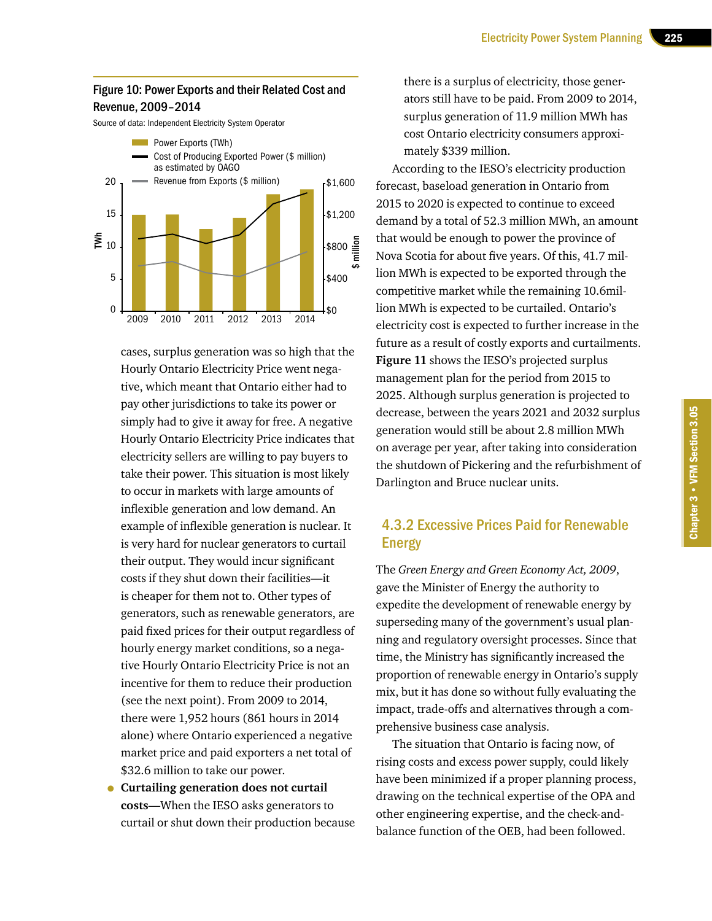#### Figure 10: Power Exports and their Related Cost and Revenue, 2009–2014

Source of data: Independent Electricity System Operator



cases, surplus generation was so high that the Hourly Ontario Electricity Price went negative, which meant that Ontario either had to pay other jurisdictions to take its power or simply had to give it away for free. A negative Hourly Ontario Electricity Price indicates that electricity sellers are willing to pay buyers to take their power. This situation is most likely to occur in markets with large amounts of inflexible generation and low demand. An example of inflexible generation is nuclear. It is very hard for nuclear generators to curtail their output. They would incur significant costs if they shut down their facilities—it is cheaper for them not to. Other types of generators, such as renewable generators, are paid fixed prices for their output regardless of hourly energy market conditions, so a negative Hourly Ontario Electricity Price is not an incentive for them to reduce their production (see the next point). From 2009 to 2014, there were 1,952 hours (861 hours in 2014 alone) where Ontario experienced a negative market price and paid exporters a net total of \$32.6 million to take our power.

• **Curtailing generation does not curtail costs**—When the IESO asks generators to curtail or shut down their production because

there is a surplus of electricity, those generators still have to be paid. From 2009 to 2014, surplus generation of 11.9 million MWh has cost Ontario electricity consumers approximately \$339 million.

According to the IESO's electricity production forecast, baseload generation in Ontario from 2015 to 2020 is expected to continue to exceed demand by a total of 52.3 million MWh, an amount that would be enough to power the province of Nova Scotia for about five years. Of this, 41.7 million MWh is expected to be exported through the competitive market while the remaining 10.6million MWh is expected to be curtailed. Ontario's electricity cost is expected to further increase in the future as a result of costly exports and curtailments. **Figure 11** shows the IESO's projected surplus management plan for the period from 2015 to 2025. Although surplus generation is projected to decrease, between the years 2021 and 2032 surplus generation would still be about 2.8 million MWh on average per year, after taking into consideration the shutdown of Pickering and the refurbishment of Darlington and Bruce nuclear units.

## 4.3.2 Excessive Prices Paid for Renewable Energy

The *Green Energy and Green Economy Act, 2009*, gave the Minister of Energy the authority to expedite the development of renewable energy by superseding many of the government's usual planning and regulatory oversight processes. Since that time, the Ministry has significantly increased the proportion of renewable energy in Ontario's supply mix, but it has done so without fully evaluating the impact, trade-offs and alternatives through a comprehensive business case analysis.

The situation that Ontario is facing now, of rising costs and excess power supply, could likely have been minimized if a proper planning process, drawing on the technical expertise of the OPA and other engineering expertise, and the check-andbalance function of the OEB, had been followed.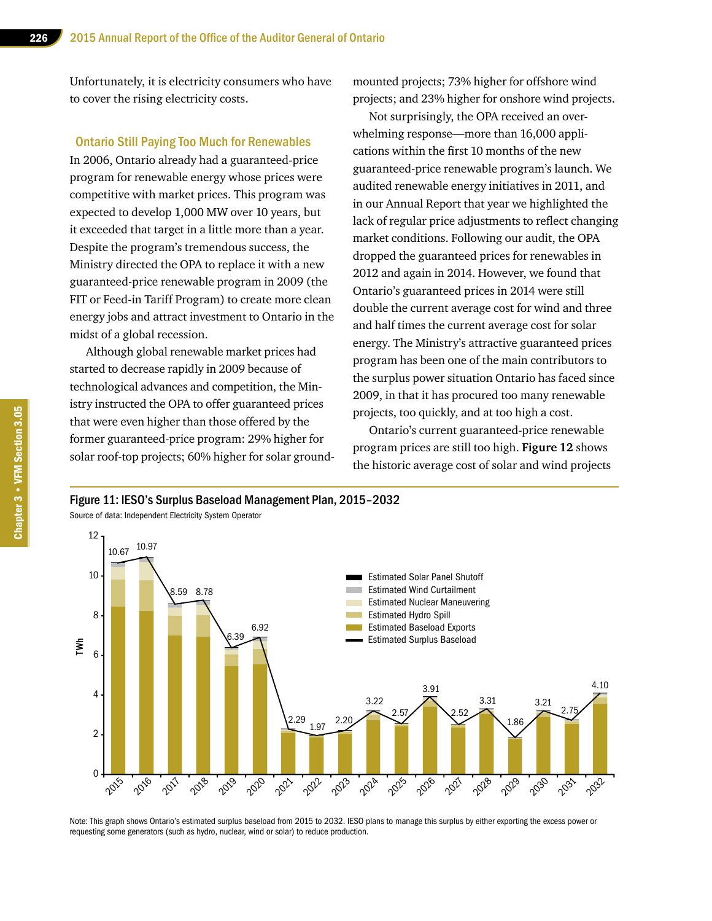Unfortunately, it is electricity consumers who have to cover the rising electricity costs.

#### Ontario Still Paying Too Much for Renewables

In 2006, Ontario already had a guaranteed-price program for renewable energy whose prices were competitive with market prices. This program was expected to develop 1,000 MW over 10 years, but it exceeded that target in a little more than a year. Despite the program's tremendous success, the Ministry directed the OPA to replace it with a new guaranteed-price renewable program in 2009 (the FIT or Feed-in Tariff Program) to create more clean energy jobs and attract investment to Ontario in the midst of a global recession.

Although global renewable market prices had started to decrease rapidly in 2009 because of technological advances and competition, the Ministry instructed the OPA to offer guaranteed prices that were even higher than those offered by the former guaranteed-price program: 29% higher for solar roof-top projects; 60% higher for solar groundmounted projects; 73% higher for offshore wind projects; and 23% higher for onshore wind projects.

Not surprisingly, the OPA received an overwhelming response—more than 16,000 applications within the first 10 months of the new guaranteed-price renewable program's launch. We audited renewable energy initiatives in 2011, and in our Annual Report that year we highlighted the lack of regular price adjustments to reflect changing market conditions. Following our audit, the OPA dropped the guaranteed prices for renewables in 2012 and again in 2014. However, we found that Ontario's guaranteed prices in 2014 were still double the current average cost for wind and three and half times the current average cost for solar energy. The Ministry's attractive guaranteed prices program has been one of the main contributors to the surplus power situation Ontario has faced since 2009, in that it has procured too many renewable projects, too quickly, and at too high a cost.

Ontario's current guaranteed-price renewable program prices are still too high. **Figure 12** shows the historic average cost of solar and wind projects

Figure 11: IESO's Surplus Baseload Management Plan, 2015–2032

Source of data: Independent Electricity System Operator



Note: This graph shows Ontario's estimated surplus baseload from 2015 to 2032. IESO plans to manage this surplus by either exporting the excess power or requesting some generators (such as hydro, nuclear, wind or solar) to reduce production.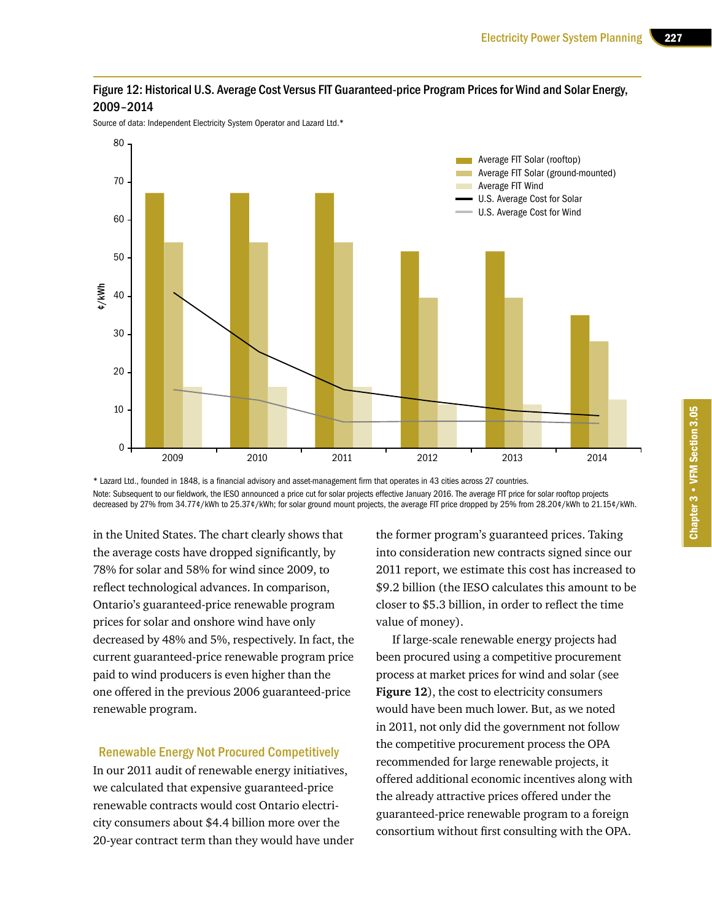

Source of data: Independent Electricity System Operator and Lazard Ltd.\*



\* Lazard Ltd., founded in 1848, is a financial advisory and asset-management firm that operates in 43 cities across 27 countries. Note: Subsequent to our fieldwork, the IESO announced a price cut for solar projects effective January 2016. The average FIT price for solar rooftop projects decreased by 27% from 34.77¢/kWh to 25.37¢/kWh; for solar ground mount projects, the average FIT price dropped by 25% from 28.20¢/kWh to 21.15¢/kWh.

in the United States. The chart clearly shows that the average costs have dropped significantly, by 78% for solar and 58% for wind since 2009, to reflect technological advances. In comparison, Ontario's guaranteed-price renewable program prices for solar and onshore wind have only decreased by 48% and 5%, respectively. In fact, the current guaranteed-price renewable program price paid to wind producers is even higher than the one offered in the previous 2006 guaranteed-price renewable program.

#### Renewable Energy Not Procured Competitively

In our 2011 audit of renewable energy initiatives, we calculated that expensive guaranteed-price renewable contracts would cost Ontario electricity consumers about \$4.4 billion more over the 20-year contract term than they would have under

the former program's guaranteed prices. Taking into consideration new contracts signed since our 2011 report, we estimate this cost has increased to \$9.2 billion (the IESO calculates this amount to be closer to \$5.3 billion, in order to reflect the time value of money).

If large-scale renewable energy projects had been procured using a competitive procurement process at market prices for wind and solar (see **Figure 12**), the cost to electricity consumers would have been much lower. But, as we noted in 2011, not only did the government not follow the competitive procurement process the OPA recommended for large renewable projects, it offered additional economic incentives along with the already attractive prices offered under the guaranteed-price renewable program to a foreign consortium without first consulting with the OPA.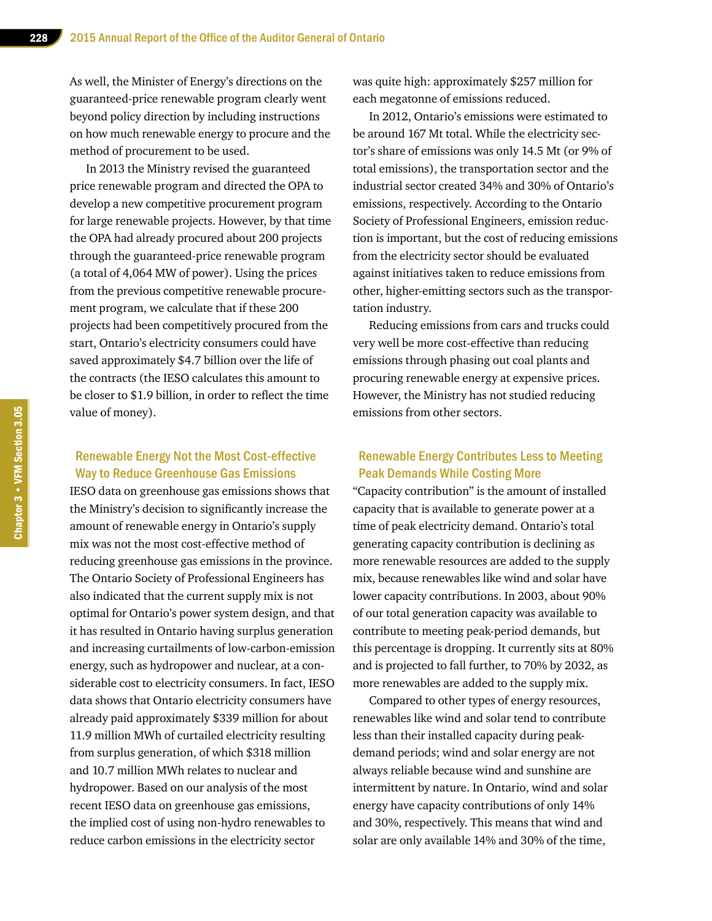As well, the Minister of Energy's directions on the guaranteed-price renewable program clearly went beyond policy direction by including instructions on how much renewable energy to procure and the method of procurement to be used.

In 2013 the Ministry revised the guaranteed price renewable program and directed the OPA to develop a new competitive procurement program for large renewable projects. However, by that time the OPA had already procured about 200 projects through the guaranteed-price renewable program (a total of 4,064 MW of power). Using the prices from the previous competitive renewable procurement program, we calculate that if these 200 projects had been competitively procured from the start, Ontario's electricity consumers could have saved approximately \$4.7 billion over the life of the contracts (the IESO calculates this amount to be closer to \$1.9 billion, in order to reflect the time value of money).

#### Renewable Energy Not the Most Cost-effective Way to Reduce Greenhouse Gas Emissions

IESO data on greenhouse gas emissions shows that the Ministry's decision to significantly increase the amount of renewable energy in Ontario's supply mix was not the most cost-effective method of reducing greenhouse gas emissions in the province. The Ontario Society of Professional Engineers has also indicated that the current supply mix is not optimal for Ontario's power system design, and that it has resulted in Ontario having surplus generation and increasing curtailments of low-carbon-emission energy, such as hydropower and nuclear, at a considerable cost to electricity consumers. In fact, IESO data shows that Ontario electricity consumers have already paid approximately \$339 million for about 11.9 million MWh of curtailed electricity resulting from surplus generation, of which \$318 million and 10.7 million MWh relates to nuclear and hydropower. Based on our analysis of the most recent IESO data on greenhouse gas emissions, the implied cost of using non-hydro renewables to reduce carbon emissions in the electricity sector

was quite high: approximately \$257 million for each megatonne of emissions reduced.

In 2012, Ontario's emissions were estimated to be around 167 Mt total. While the electricity sector's share of emissions was only 14.5 Mt (or 9% of total emissions), the transportation sector and the industrial sector created 34% and 30% of Ontario's emissions, respectively. According to the Ontario Society of Professional Engineers, emission reduction is important, but the cost of reducing emissions from the electricity sector should be evaluated against initiatives taken to reduce emissions from other, higher-emitting sectors such as the transportation industry.

Reducing emissions from cars and trucks could very well be more cost-effective than reducing emissions through phasing out coal plants and procuring renewable energy at expensive prices. However, the Ministry has not studied reducing emissions from other sectors.

#### Renewable Energy Contributes Less to Meeting Peak Demands While Costing More

"Capacity contribution" is the amount of installed capacity that is available to generate power at a time of peak electricity demand. Ontario's total generating capacity contribution is declining as more renewable resources are added to the supply mix, because renewables like wind and solar have lower capacity contributions. In 2003, about 90% of our total generation capacity was available to contribute to meeting peak-period demands, but this percentage is dropping. It currently sits at 80% and is projected to fall further, to 70% by 2032, as more renewables are added to the supply mix.

Compared to other types of energy resources, renewables like wind and solar tend to contribute less than their installed capacity during peakdemand periods; wind and solar energy are not always reliable because wind and sunshine are intermittent by nature. In Ontario, wind and solar energy have capacity contributions of only 14% and 30%, respectively. This means that wind and solar are only available 14% and 30% of the time,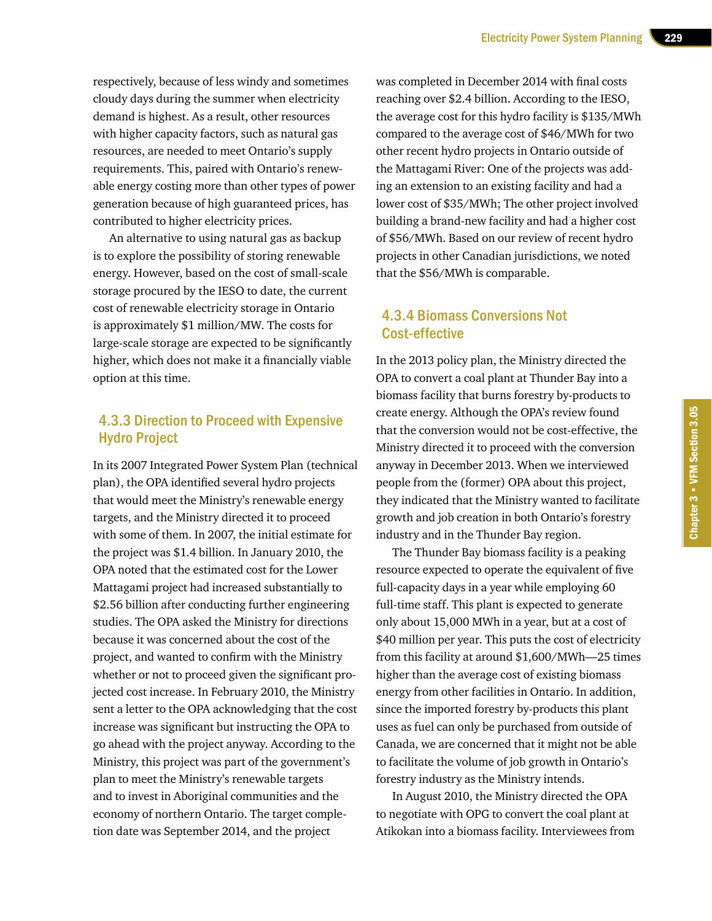respectively, because of less windy and sometimes cloudy days during the summer when electricity demand is highest. As a result, other resources with higher capacity factors, such as natural gas resources, are needed to meet Ontario's supply requirements. This, paired with Ontario's renewable energy costing more than other types of power generation because of high guaranteed prices, has contributed to higher electricity prices.

An alternative to using natural gas as backup is to explore the possibility of storing renewable energy. However, based on the cost of small-scale storage procured by the IESO to date, the current cost of renewable electricity storage in Ontario is approximately \$1 million/MW. The costs for large-scale storage are expected to be significantly higher, which does not make it a financially viable option at this time.

## 4.3.3 Direction to Proceed with Expensive Hydro Project

In its 2007 Integrated Power System Plan (technical plan), the OPA identified several hydro projects that would meet the Ministry's renewable energy targets, and the Ministry directed it to proceed with some of them. In 2007, the initial estimate for the project was \$1.4 billion. In January 2010, the OPA noted that the estimated cost for the Lower Mattagami project had increased substantially to \$2.56 billion after conducting further engineering studies. The OPA asked the Ministry for directions because it was concerned about the cost of the project, and wanted to confirm with the Ministry whether or not to proceed given the significant projected cost increase. In February 2010, the Ministry sent a letter to the OPA acknowledging that the cost increase was significant but instructing the OPA to go ahead with the project anyway. According to the Ministry, this project was part of the government's plan to meet the Ministry's renewable targets and to invest in Aboriginal communities and the economy of northern Ontario. The target completion date was September 2014, and the project

was completed in December 2014 with final costs reaching over \$2.4 billion. According to the IESO, the average cost for this hydro facility is \$135/MWh compared to the average cost of \$46/MWh for two other recent hydro projects in Ontario outside of the Mattagami River: One of the projects was adding an extension to an existing facility and had a lower cost of \$35/MWh; The other project involved building a brand-new facility and had a higher cost of \$56/MWh. Based on our review of recent hydro projects in other Canadian jurisdictions, we noted that the \$56/MWh is comparable.

## 4.3.4 Biomass Conversions Not Cost-effective

In the 2013 policy plan, the Ministry directed the OPA to convert a coal plant at Thunder Bay into a biomass facility that burns forestry by-products to create energy. Although the OPA's review found that the conversion would not be cost-effective, the Ministry directed it to proceed with the conversion anyway in December 2013. When we interviewed people from the (former) OPA about this project, they indicated that the Ministry wanted to facilitate growth and job creation in both Ontario's forestry industry and in the Thunder Bay region.

The Thunder Bay biomass facility is a peaking resource expected to operate the equivalent of five full-capacity days in a year while employing 60 full-time staff. This plant is expected to generate only about 15,000 MWh in a year, but at a cost of \$40 million per year. This puts the cost of electricity from this facility at around \$1,600/MWh—25 times higher than the average cost of existing biomass energy from other facilities in Ontario. In addition, since the imported forestry by-products this plant uses as fuel can only be purchased from outside of Canada, we are concerned that it might not be able to facilitate the volume of job growth in Ontario's forestry industry as the Ministry intends.

In August 2010, the Ministry directed the OPA to negotiate with OPG to convert the coal plant at Atikokan into a biomass facility. Interviewees from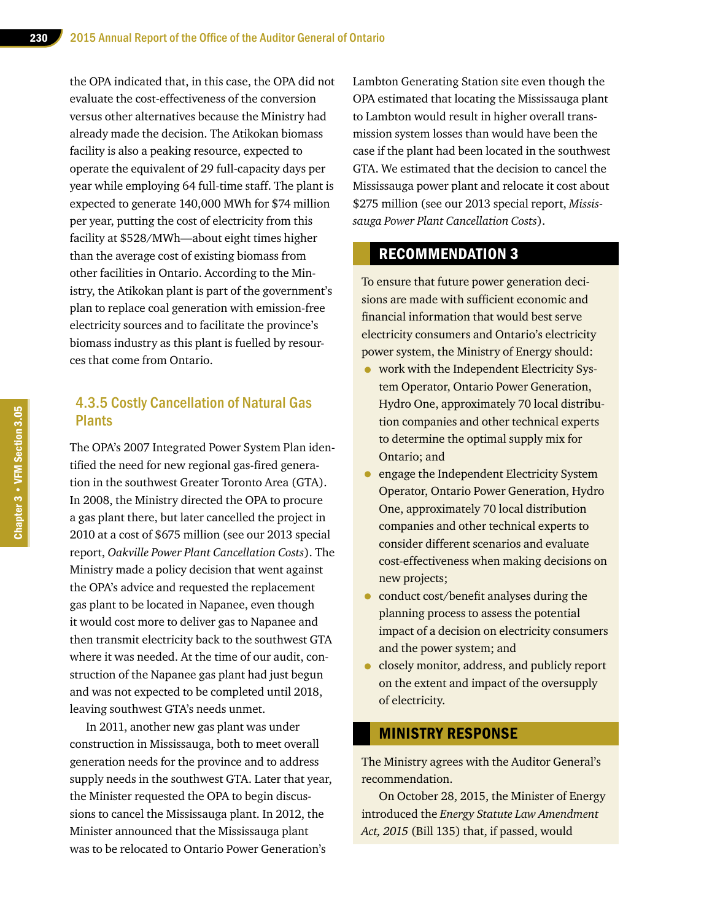the OPA indicated that, in this case, the OPA did not evaluate the cost-effectiveness of the conversion versus other alternatives because the Ministry had already made the decision. The Atikokan biomass facility is also a peaking resource, expected to operate the equivalent of 29 full-capacity days per year while employing 64 full-time staff. The plant is expected to generate 140,000 MWh for \$74 million per year, putting the cost of electricity from this facility at \$528/MWh—about eight times higher than the average cost of existing biomass from other facilities in Ontario. According to the Ministry, the Atikokan plant is part of the government's plan to replace coal generation with emission-free electricity sources and to facilitate the province's biomass industry as this plant is fuelled by resources that come from Ontario.

## 4.3.5 Costly Cancellation of Natural Gas Plants

The OPA's 2007 Integrated Power System Plan identified the need for new regional gas-fired generation in the southwest Greater Toronto Area (GTA). In 2008, the Ministry directed the OPA to procure a gas plant there, but later cancelled the project in 2010 at a cost of \$675 million (see our 2013 special report, *Oakville Power Plant Cancellation Costs*). The Ministry made a policy decision that went against the OPA's advice and requested the replacement gas plant to be located in Napanee, even though it would cost more to deliver gas to Napanee and then transmit electricity back to the southwest GTA where it was needed. At the time of our audit, construction of the Napanee gas plant had just begun and was not expected to be completed until 2018, leaving southwest GTA's needs unmet.

In 2011, another new gas plant was under construction in Mississauga, both to meet overall generation needs for the province and to address supply needs in the southwest GTA. Later that year, the Minister requested the OPA to begin discussions to cancel the Mississauga plant. In 2012, the Minister announced that the Mississauga plant was to be relocated to Ontario Power Generation's

Lambton Generating Station site even though the OPA estimated that locating the Mississauga plant to Lambton would result in higher overall transmission system losses than would have been the case if the plant had been located in the southwest GTA. We estimated that the decision to cancel the Mississauga power plant and relocate it cost about \$275 million (see our 2013 special report, *Mississauga Power Plant Cancellation Costs*).

## RECOMMENDATION 3

To ensure that future power generation decisions are made with sufficient economic and financial information that would best serve electricity consumers and Ontario's electricity power system, the Ministry of Energy should:

- work with the Independent Electricity System Operator, Ontario Power Generation, Hydro One, approximately 70 local distribution companies and other technical experts to determine the optimal supply mix for Ontario; and
- engage the Independent Electricity System Operator, Ontario Power Generation, Hydro One, approximately 70 local distribution companies and other technical experts to consider different scenarios and evaluate cost-effectiveness when making decisions on new projects;
- conduct cost/benefit analyses during the planning process to assess the potential impact of a decision on electricity consumers and the power system; and
- closely monitor, address, and publicly report on the extent and impact of the oversupply of electricity.

#### MINISTRY RESPONSE

The Ministry agrees with the Auditor General's recommendation.

On October 28, 2015, the Minister of Energy introduced the *Energy Statute Law Amendment Act, 2015* (Bill 135) that, if passed, would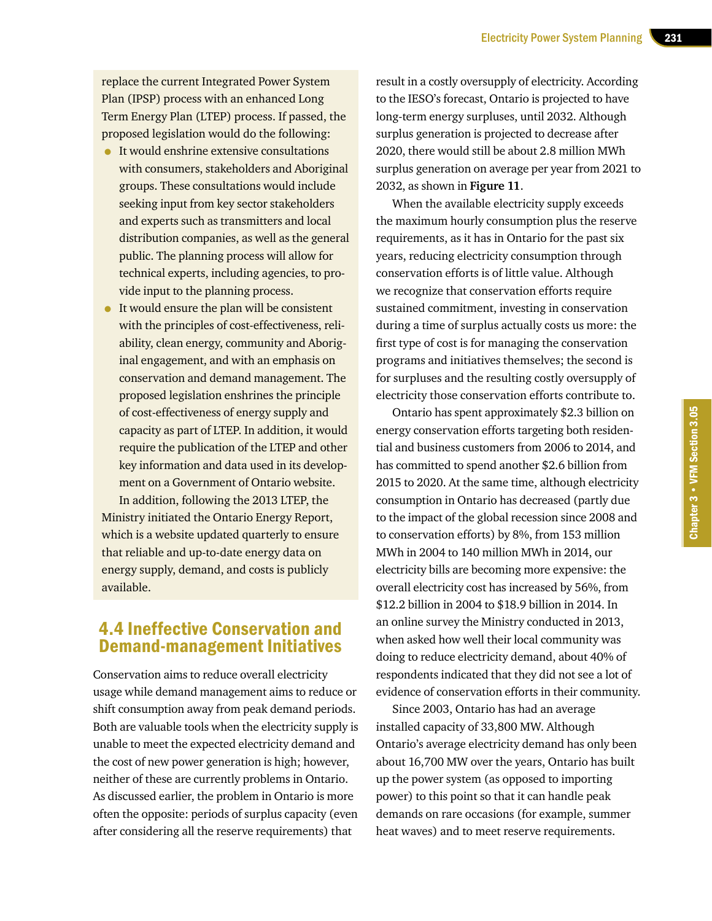replace the current Integrated Power System Plan (IPSP) process with an enhanced Long Term Energy Plan (LTEP) process. If passed, the proposed legislation would do the following:

- It would enshrine extensive consultations with consumers, stakeholders and Aboriginal groups. These consultations would include seeking input from key sector stakeholders and experts such as transmitters and local distribution companies, as well as the general public. The planning process will allow for technical experts, including agencies, to provide input to the planning process.
- It would ensure the plan will be consistent with the principles of cost-effectiveness, reliability, clean energy, community and Aboriginal engagement, and with an emphasis on conservation and demand management. The proposed legislation enshrines the principle of cost-effectiveness of energy supply and capacity as part of LTEP. In addition, it would require the publication of the LTEP and other key information and data used in its development on a Government of Ontario website.

In addition, following the 2013 LTEP, the Ministry initiated the Ontario Energy Report, which is a website updated quarterly to ensure that reliable and up-to-date energy data on energy supply, demand, and costs is publicly available.

## 4.4 Ineffective Conservation and Demand-management Initiatives

Conservation aims to reduce overall electricity usage while demand management aims to reduce or shift consumption away from peak demand periods. Both are valuable tools when the electricity supply is unable to meet the expected electricity demand and the cost of new power generation is high; however, neither of these are currently problems in Ontario. As discussed earlier, the problem in Ontario is more often the opposite: periods of surplus capacity (even after considering all the reserve requirements) that

result in a costly oversupply of electricity. According to the IESO's forecast, Ontario is projected to have long-term energy surpluses, until 2032. Although surplus generation is projected to decrease after 2020, there would still be about 2.8 million MWh surplus generation on average per year from 2021 to 2032, as shown in **Figure 11**.

When the available electricity supply exceeds the maximum hourly consumption plus the reserve requirements, as it has in Ontario for the past six years, reducing electricity consumption through conservation efforts is of little value. Although we recognize that conservation efforts require sustained commitment, investing in conservation during a time of surplus actually costs us more: the first type of cost is for managing the conservation programs and initiatives themselves; the second is for surpluses and the resulting costly oversupply of electricity those conservation efforts contribute to.

Ontario has spent approximately \$2.3 billion on energy conservation efforts targeting both residential and business customers from 2006 to 2014, and has committed to spend another \$2.6 billion from 2015 to 2020. At the same time, although electricity consumption in Ontario has decreased (partly due to the impact of the global recession since 2008 and to conservation efforts) by 8%, from 153 million MWh in 2004 to 140 million MWh in 2014, our electricity bills are becoming more expensive: the overall electricity cost has increased by 56%, from \$12.2 billion in 2004 to \$18.9 billion in 2014. In an online survey the Ministry conducted in 2013, when asked how well their local community was doing to reduce electricity demand, about 40% of respondents indicated that they did not see a lot of evidence of conservation efforts in their community.

Since 2003, Ontario has had an average installed capacity of 33,800 MW. Although Ontario's average electricity demand has only been about 16,700 MW over the years, Ontario has built up the power system (as opposed to importing power) to this point so that it can handle peak demands on rare occasions (for example, summer heat waves) and to meet reserve requirements.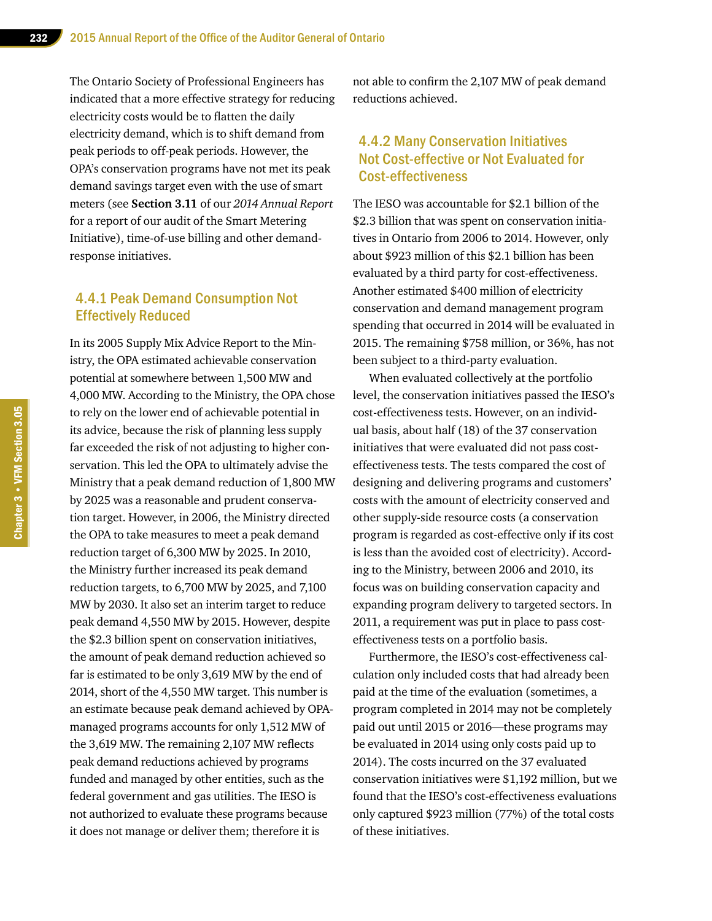The Ontario Society of Professional Engineers has indicated that a more effective strategy for reducing electricity costs would be to flatten the daily electricity demand, which is to shift demand from peak periods to off-peak periods. However, the OPA's conservation programs have not met its peak demand savings target even with the use of smart meters (see **Section 3.11** of our *2014 Annual Report* for a report of our audit of the Smart Metering Initiative), time-of-use billing and other demandresponse initiatives.

## 4.4.1 Peak Demand Consumption Not Effectively Reduced

In its 2005 Supply Mix Advice Report to the Ministry, the OPA estimated achievable conservation potential at somewhere between 1,500 MW and 4,000 MW. According to the Ministry, the OPA chose to rely on the lower end of achievable potential in its advice, because the risk of planning less supply far exceeded the risk of not adjusting to higher conservation. This led the OPA to ultimately advise the Ministry that a peak demand reduction of 1,800 MW by 2025 was a reasonable and prudent conservation target. However, in 2006, the Ministry directed the OPA to take measures to meet a peak demand reduction target of 6,300 MW by 2025. In 2010, the Ministry further increased its peak demand reduction targets, to 6,700 MW by 2025, and 7,100 MW by 2030. It also set an interim target to reduce peak demand 4,550 MW by 2015. However, despite the \$2.3 billion spent on conservation initiatives, the amount of peak demand reduction achieved so far is estimated to be only 3,619 MW by the end of 2014, short of the 4,550 MW target. This number is an estimate because peak demand achieved by OPAmanaged programs accounts for only 1,512 MW of the 3,619 MW. The remaining 2,107 MW reflects peak demand reductions achieved by programs funded and managed by other entities, such as the federal government and gas utilities. The IESO is not authorized to evaluate these programs because it does not manage or deliver them; therefore it is

not able to confirm the 2,107 MW of peak demand reductions achieved.

## 4.4.2 Many Conservation Initiatives Not Cost-effective or Not Evaluated for Cost-effectiveness

The IESO was accountable for \$2.1 billion of the \$2.3 billion that was spent on conservation initiatives in Ontario from 2006 to 2014. However, only about \$923 million of this \$2.1 billion has been evaluated by a third party for cost-effectiveness. Another estimated \$400 million of electricity conservation and demand management program spending that occurred in 2014 will be evaluated in 2015. The remaining \$758 million, or 36%, has not been subject to a third-party evaluation.

When evaluated collectively at the portfolio level, the conservation initiatives passed the IESO's cost-effectiveness tests. However, on an individual basis, about half (18) of the 37 conservation initiatives that were evaluated did not pass costeffectiveness tests. The tests compared the cost of designing and delivering programs and customers' costs with the amount of electricity conserved and other supply-side resource costs (a conservation program is regarded as cost-effective only if its cost is less than the avoided cost of electricity). According to the Ministry, between 2006 and 2010, its focus was on building conservation capacity and expanding program delivery to targeted sectors. In 2011, a requirement was put in place to pass costeffectiveness tests on a portfolio basis.

Furthermore, the IESO's cost-effectiveness calculation only included costs that had already been paid at the time of the evaluation (sometimes, a program completed in 2014 may not be completely paid out until 2015 or 2016—these programs may be evaluated in 2014 using only costs paid up to 2014). The costs incurred on the 37 evaluated conservation initiatives were \$1,192 million, but we found that the IESO's cost-effectiveness evaluations only captured \$923 million (77%) of the total costs of these initiatives.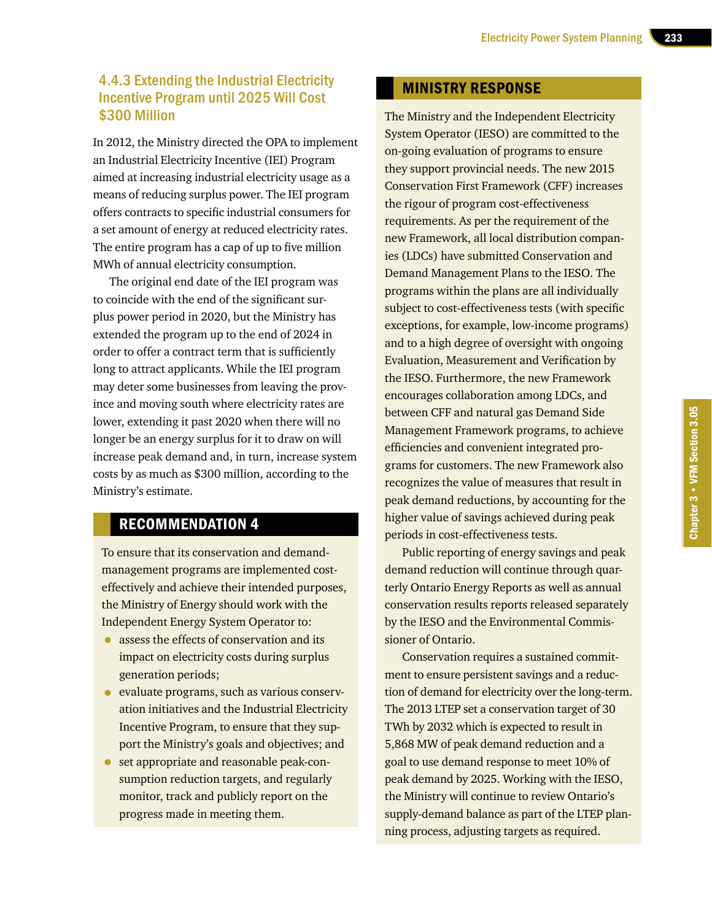## 4.4.3 Extending the Industrial Electricity Incentive Program until 2025 Will Cost \$300 Million

In 2012, the Ministry directed the OPA to implement an Industrial Electricity Incentive (IEI) Program aimed at increasing industrial electricity usage as a means of reducing surplus power. The IEI program offers contracts to specific industrial consumers for a set amount of energy at reduced electricity rates. The entire program has a cap of up to five million MWh of annual electricity consumption.

The original end date of the IEI program was to coincide with the end of the significant surplus power period in 2020, but the Ministry has extended the program up to the end of 2024 in order to offer a contract term that is sufficiently long to attract applicants. While the IEI program may deter some businesses from leaving the province and moving south where electricity rates are lower, extending it past 2020 when there will no longer be an energy surplus for it to draw on will increase peak demand and, in turn, increase system costs by as much as \$300 million, according to the Ministry's estimate.

## RECOMMENDATION 4

To ensure that its conservation and demandmanagement programs are implemented costeffectively and achieve their intended purposes, the Ministry of Energy should work with the Independent Energy System Operator to:

- assess the effects of conservation and its impact on electricity costs during surplus generation periods;
- evaluate programs, such as various conservation initiatives and the Industrial Electricity Incentive Program, to ensure that they support the Ministry's goals and objectives; and
- set appropriate and reasonable peak-consumption reduction targets, and regularly monitor, track and publicly report on the progress made in meeting them.

## MINISTRY RESPONSE

The Ministry and the Independent Electricity System Operator (IESO) are committed to the on-going evaluation of programs to ensure they support provincial needs. The new 2015 Conservation First Framework (CFF) increases the rigour of program cost-effectiveness requirements. As per the requirement of the new Framework, all local distribution companies (LDCs) have submitted Conservation and Demand Management Plans to the IESO. The programs within the plans are all individually subject to cost-effectiveness tests (with specific exceptions, for example, low-income programs) and to a high degree of oversight with ongoing Evaluation, Measurement and Verification by the IESO. Furthermore, the new Framework encourages collaboration among LDCs, and between CFF and natural gas Demand Side Management Framework programs, to achieve efficiencies and convenient integrated programs for customers. The new Framework also recognizes the value of measures that result in peak demand reductions, by accounting for the higher value of savings achieved during peak periods in cost-effectiveness tests.

Public reporting of energy savings and peak demand reduction will continue through quarterly Ontario Energy Reports as well as annual conservation results reports released separately by the IESO and the Environmental Commissioner of Ontario.

Conservation requires a sustained commitment to ensure persistent savings and a reduction of demand for electricity over the long-term. The 2013 LTEP set a conservation target of 30 TWh by 2032 which is expected to result in 5,868 MW of peak demand reduction and a goal to use demand response to meet 10% of peak demand by 2025. Working with the IESO, the Ministry will continue to review Ontario's supply-demand balance as part of the LTEP planning process, adjusting targets as required.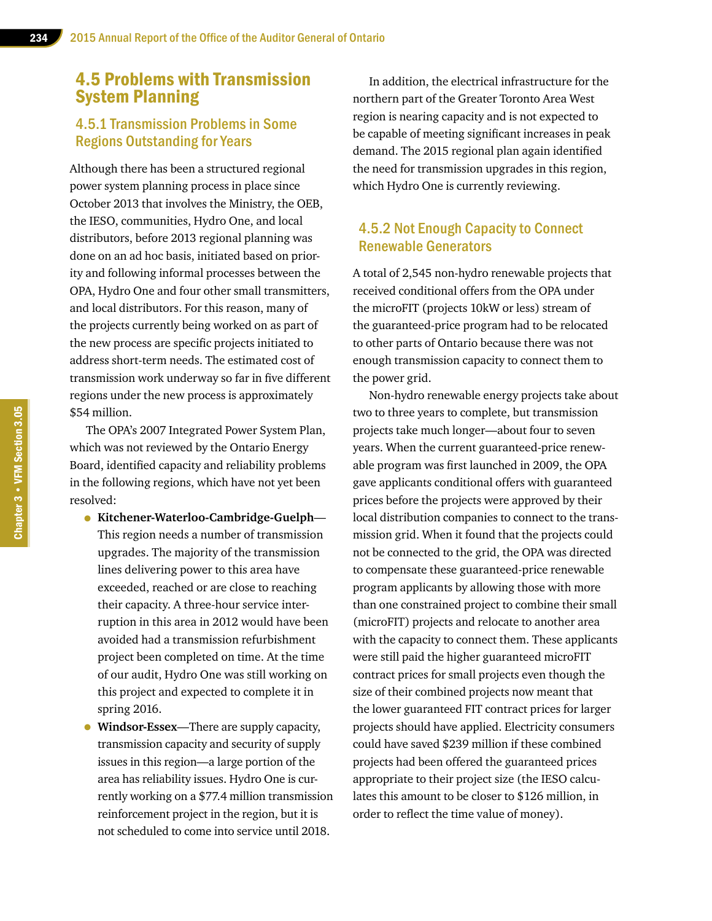## 4.5 Problems with Transmission System Planning

## 4.5.1 Transmission Problems in Some Regions Outstanding for Years

Although there has been a structured regional power system planning process in place since October 2013 that involves the Ministry, the OEB, the IESO, communities, Hydro One, and local distributors, before 2013 regional planning was done on an ad hoc basis, initiated based on priority and following informal processes between the OPA, Hydro One and four other small transmitters, and local distributors. For this reason, many of the projects currently being worked on as part of the new process are specific projects initiated to address short-term needs. The estimated cost of transmission work underway so far in five different regions under the new process is approximately \$54 million.

The OPA's 2007 Integrated Power System Plan, which was not reviewed by the Ontario Energy Board, identified capacity and reliability problems in the following regions, which have not yet been resolved:

- **Kitchener-Waterloo-Cambridge-Guelph** This region needs a number of transmission upgrades. The majority of the transmission lines delivering power to this area have exceeded, reached or are close to reaching their capacity. A three-hour service interruption in this area in 2012 would have been avoided had a transmission refurbishment project been completed on time. At the time of our audit, Hydro One was still working on this project and expected to complete it in spring 2016.
- **Windsor-Essex**—There are supply capacity, transmission capacity and security of supply issues in this region—a large portion of the area has reliability issues. Hydro One is currently working on a \$77.4 million transmission reinforcement project in the region, but it is not scheduled to come into service until 2018.

In addition, the electrical infrastructure for the northern part of the Greater Toronto Area West region is nearing capacity and is not expected to be capable of meeting significant increases in peak demand. The 2015 regional plan again identified the need for transmission upgrades in this region, which Hydro One is currently reviewing.

## 4.5.2 Not Enough Capacity to Connect Renewable Generators

A total of 2,545 non-hydro renewable projects that received conditional offers from the OPA under the microFIT (projects 10kW or less) stream of the guaranteed-price program had to be relocated to other parts of Ontario because there was not enough transmission capacity to connect them to the power grid.

Non-hydro renewable energy projects take about two to three years to complete, but transmission projects take much longer—about four to seven years. When the current guaranteed-price renewable program was first launched in 2009, the OPA gave applicants conditional offers with guaranteed prices before the projects were approved by their local distribution companies to connect to the transmission grid. When it found that the projects could not be connected to the grid, the OPA was directed to compensate these guaranteed-price renewable program applicants by allowing those with more than one constrained project to combine their small (microFIT) projects and relocate to another area with the capacity to connect them. These applicants were still paid the higher guaranteed microFIT contract prices for small projects even though the size of their combined projects now meant that the lower guaranteed FIT contract prices for larger projects should have applied. Electricity consumers could have saved \$239 million if these combined projects had been offered the guaranteed prices appropriate to their project size (the IESO calculates this amount to be closer to \$126 million, in order to reflect the time value of money).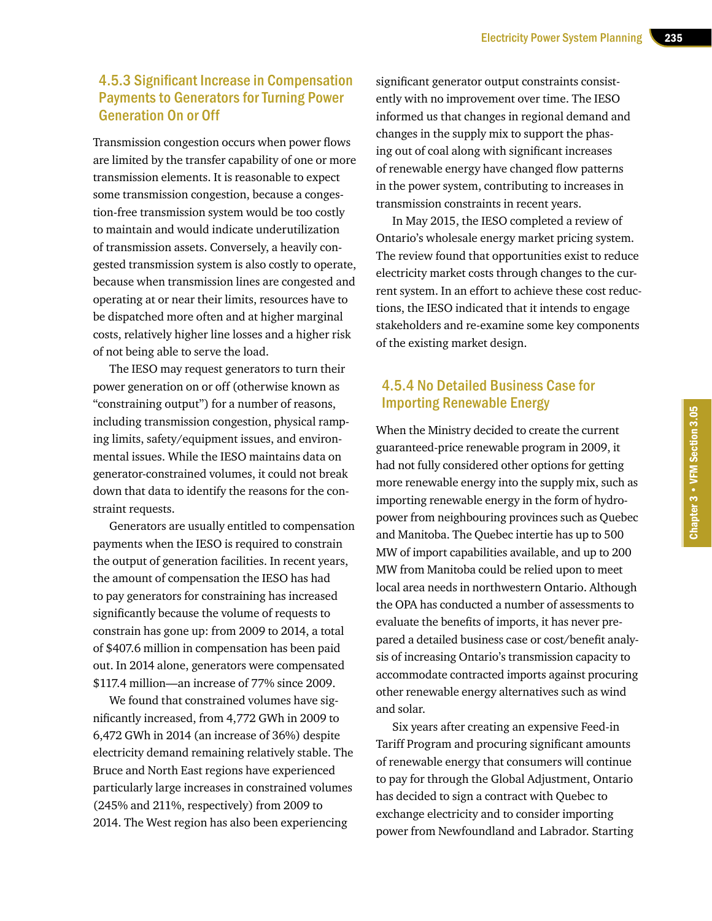## 4.5.3 Significant Increase in Compensation Payments to Generators for Turning Power Generation On or Off

Transmission congestion occurs when power flows are limited by the transfer capability of one or more transmission elements. It is reasonable to expect some transmission congestion, because a congestion-free transmission system would be too costly to maintain and would indicate underutilization of transmission assets. Conversely, a heavily congested transmission system is also costly to operate, because when transmission lines are congested and operating at or near their limits, resources have to be dispatched more often and at higher marginal costs, relatively higher line losses and a higher risk of not being able to serve the load.

The IESO may request generators to turn their power generation on or off (otherwise known as "constraining output") for a number of reasons, including transmission congestion, physical ramping limits, safety/equipment issues, and environmental issues. While the IESO maintains data on generator-constrained volumes, it could not break down that data to identify the reasons for the constraint requests.

Generators are usually entitled to compensation payments when the IESO is required to constrain the output of generation facilities. In recent years, the amount of compensation the IESO has had to pay generators for constraining has increased significantly because the volume of requests to constrain has gone up: from 2009 to 2014, a total of \$407.6 million in compensation has been paid out. In 2014 alone, generators were compensated \$117.4 million—an increase of 77% since 2009.

We found that constrained volumes have significantly increased, from 4,772 GWh in 2009 to 6,472 GWh in 2014 (an increase of 36%) despite electricity demand remaining relatively stable. The Bruce and North East regions have experienced particularly large increases in constrained volumes (245% and 211%, respectively) from 2009 to 2014. The West region has also been experiencing

significant generator output constraints consistently with no improvement over time. The IESO informed us that changes in regional demand and changes in the supply mix to support the phasing out of coal along with significant increases of renewable energy have changed flow patterns in the power system, contributing to increases in transmission constraints in recent years.

In May 2015, the IESO completed a review of Ontario's wholesale energy market pricing system. The review found that opportunities exist to reduce electricity market costs through changes to the current system. In an effort to achieve these cost reductions, the IESO indicated that it intends to engage stakeholders and re-examine some key components of the existing market design.

## 4.5.4 No Detailed Business Case for Importing Renewable Energy

When the Ministry decided to create the current guaranteed-price renewable program in 2009, it had not fully considered other options for getting more renewable energy into the supply mix, such as importing renewable energy in the form of hydropower from neighbouring provinces such as Quebec and Manitoba. The Quebec intertie has up to 500 MW of import capabilities available, and up to 200 MW from Manitoba could be relied upon to meet local area needs in northwestern Ontario. Although the OPA has conducted a number of assessments to evaluate the benefits of imports, it has never prepared a detailed business case or cost/benefit analysis of increasing Ontario's transmission capacity to accommodate contracted imports against procuring other renewable energy alternatives such as wind and solar.

Six years after creating an expensive Feed-in Tariff Program and procuring significant amounts of renewable energy that consumers will continue to pay for through the Global Adjustment, Ontario has decided to sign a contract with Quebec to exchange electricity and to consider importing power from Newfoundland and Labrador. Starting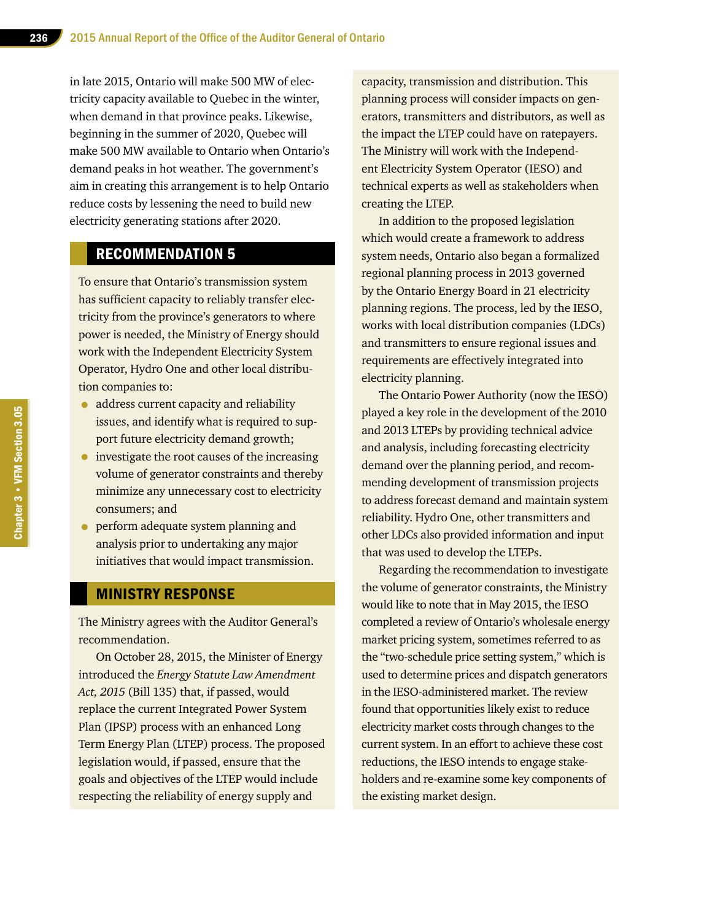in late 2015, Ontario will make 500 MW of electricity capacity available to Quebec in the winter, when demand in that province peaks. Likewise, beginning in the summer of 2020, Quebec will make 500 MW available to Ontario when Ontario's demand peaks in hot weather. The government's aim in creating this arrangement is to help Ontario reduce costs by lessening the need to build new electricity generating stations after 2020.

## RECOMMENDATION 5

To ensure that Ontario's transmission system has sufficient capacity to reliably transfer electricity from the province's generators to where power is needed, the Ministry of Energy should work with the Independent Electricity System Operator, Hydro One and other local distribution companies to:

- address current capacity and reliability issues, and identify what is required to support future electricity demand growth;
- investigate the root causes of the increasing volume of generator constraints and thereby minimize any unnecessary cost to electricity consumers; and
- perform adequate system planning and analysis prior to undertaking any major initiatives that would impact transmission.

#### MINISTRY RESPONSE

The Ministry agrees with the Auditor General's recommendation.

On October 28, 2015, the Minister of Energy introduced the *Energy Statute Law Amendment Act, 2015* (Bill 135) that, if passed, would replace the current Integrated Power System Plan (IPSP) process with an enhanced Long Term Energy Plan (LTEP) process. The proposed legislation would, if passed, ensure that the goals and objectives of the LTEP would include respecting the reliability of energy supply and

capacity, transmission and distribution. This planning process will consider impacts on generators, transmitters and distributors, as well as the impact the LTEP could have on ratepayers. The Ministry will work with the Independent Electricity System Operator (IESO) and technical experts as well as stakeholders when creating the LTEP.

In addition to the proposed legislation which would create a framework to address system needs, Ontario also began a formalized regional planning process in 2013 governed by the Ontario Energy Board in 21 electricity planning regions. The process, led by the IESO, works with local distribution companies (LDCs) and transmitters to ensure regional issues and requirements are effectively integrated into electricity planning.

The Ontario Power Authority (now the IESO) played a key role in the development of the 2010 and 2013 LTEPs by providing technical advice and analysis, including forecasting electricity demand over the planning period, and recommending development of transmission projects to address forecast demand and maintain system reliability. Hydro One, other transmitters and other LDCs also provided information and input that was used to develop the LTEPs.

Regarding the recommendation to investigate the volume of generator constraints, the Ministry would like to note that in May 2015, the IESO completed a review of Ontario's wholesale energy market pricing system, sometimes referred to as the "two-schedule price setting system," which is used to determine prices and dispatch generators in the IESO-administered market. The review found that opportunities likely exist to reduce electricity market costs through changes to the current system. In an effort to achieve these cost reductions, the IESO intends to engage stakeholders and re-examine some key components of the existing market design.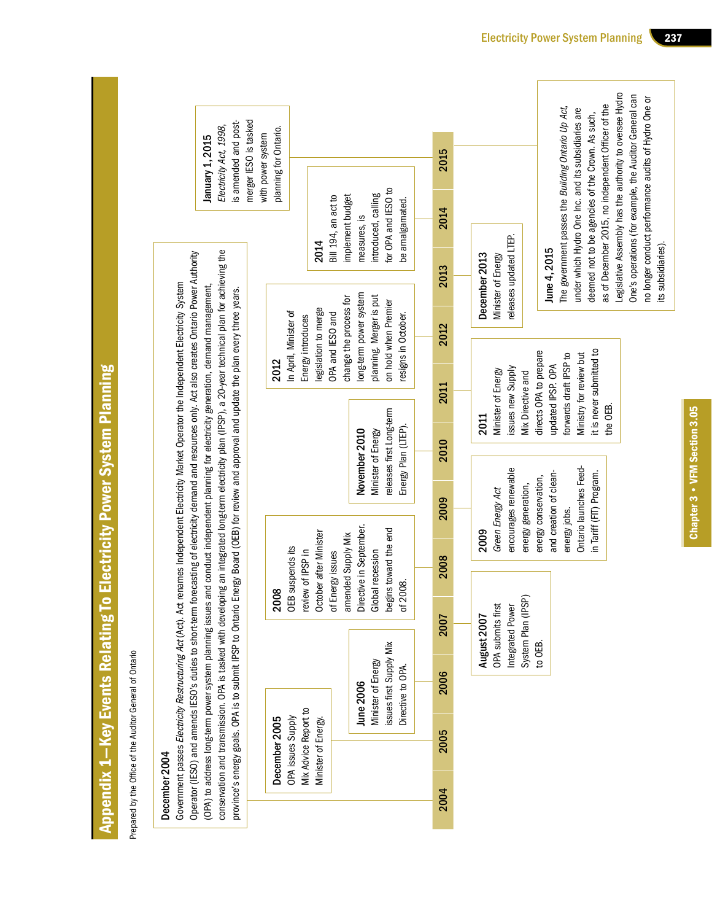|                                                                     | merger IESO is tasked<br>is amended and post-<br>Electricity Act, 1998,<br>January 1, 2015                                                                                                                                                                                                                                                                                                                                                                                                                                                                                                | planning for Ontario.<br>with power system                                                                                                                                                            | Legislative Assembly has the authority to oversee Hydro<br>One's operations (for example, the Auditor General can<br>no longer conduct performance audits of Hydro One or<br>as of December 2015, no independent Officer of the<br>The government passes the Building Ontario Up Act,<br>under which Hydro One Inc. and its subsidiaries are<br>deemed not to be agencies of the Crown. As such,<br>2015 |
|---------------------------------------------------------------------|-------------------------------------------------------------------------------------------------------------------------------------------------------------------------------------------------------------------------------------------------------------------------------------------------------------------------------------------------------------------------------------------------------------------------------------------------------------------------------------------------------------------------------------------------------------------------------------------|-------------------------------------------------------------------------------------------------------------------------------------------------------------------------------------------------------|----------------------------------------------------------------------------------------------------------------------------------------------------------------------------------------------------------------------------------------------------------------------------------------------------------------------------------------------------------------------------------------------------------|
|                                                                     |                                                                                                                                                                                                                                                                                                                                                                                                                                                                                                                                                                                           | for OPA and IESO to<br>introduced, calling<br>implement budget<br>Bill 194, an act to<br>be amalgamated.<br>measures, is<br>2014                                                                      | 2014<br>releases updated LTEP.<br>its subsidiaries)<br>June 4, 2015<br>December 2013<br>Minister of Energy<br>2013                                                                                                                                                                                                                                                                                       |
|                                                                     |                                                                                                                                                                                                                                                                                                                                                                                                                                                                                                                                                                                           | long-term power system<br>planning. Merger is put<br>change the process for<br>on hold when Premier                                                                                                   | 2012                                                                                                                                                                                                                                                                                                                                                                                                     |
|                                                                     |                                                                                                                                                                                                                                                                                                                                                                                                                                                                                                                                                                                           | legislation to merge<br>In April, Minister of<br>OPA and IESO and<br>resigns in October.<br>Energy introduces<br>2012                                                                                 | it is never submitted to<br>directs OPA to prepare<br>Ministry for review but<br>forwards draft IPSP to<br>2011                                                                                                                                                                                                                                                                                          |
|                                                                     |                                                                                                                                                                                                                                                                                                                                                                                                                                                                                                                                                                                           |                                                                                                                                                                                                       | updated IPSP. OPA<br>issues new Supply<br>Minister of Energy<br>Mix Directive and<br>the OEB.<br>2011                                                                                                                                                                                                                                                                                                    |
|                                                                     |                                                                                                                                                                                                                                                                                                                                                                                                                                                                                                                                                                                           | releases first Long-term<br>Energy Plan (LTEP).<br>November 2010<br>Minister of Energy                                                                                                                | 2010                                                                                                                                                                                                                                                                                                                                                                                                     |
|                                                                     | renames Independent Electricity Market Operator the Independent Electricity System<br>and conduct independent planning for electricity generation, demand management,                                                                                                                                                                                                                                                                                                                                                                                                                     |                                                                                                                                                                                                       | Ontario launches Feed-<br>encourages renewable<br>in Tariff (FIT) Program.<br>and creation of clean-<br>energy conservation,<br>energy generation,<br>Green Energy Act<br>2009<br>energy jobs.<br>2009                                                                                                                                                                                                   |
|                                                                     |                                                                                                                                                                                                                                                                                                                                                                                                                                                                                                                                                                                           | Directive in September.<br>begins toward the end<br>October after Minister<br>amended Supply Mix<br>OEB suspends its<br>Global recession<br>review of IPSP in<br>of Energy issues<br>of 2008.<br>2008 | 2008                                                                                                                                                                                                                                                                                                                                                                                                     |
|                                                                     |                                                                                                                                                                                                                                                                                                                                                                                                                                                                                                                                                                                           |                                                                                                                                                                                                       | System Plan (IPSP)<br>OPA submits first<br>Integrated Power<br>August 2007<br>2007<br>to OEB.                                                                                                                                                                                                                                                                                                            |
|                                                                     |                                                                                                                                                                                                                                                                                                                                                                                                                                                                                                                                                                                           | issues first Supply Mix<br>Minister of Energy<br>Directive to OPA.<br>June 2006                                                                                                                       | 2006                                                                                                                                                                                                                                                                                                                                                                                                     |
|                                                                     | conservation and transmission. OPA is tasked with developing an integrated long-term electricity plan (IPSP), a 20-year technical plan for achieving the<br>Operator (IESO) and amends IESO's duties to short-term forecasting of electricity demand and resources only. Act also creates Ontario Power Authority<br>province's energy goals. OPA is to submit IPSP to Ontario Energy Board (OEB) for review and approval and update the plan every three years.<br>Government passes Electricity Restructuring Act (Act). Act<br>(OPA) to address long-term power system planning issues | Mix Advice Report to<br>OPA issues Supply<br>December 2005<br>Minister of Energy.                                                                                                                     | 2005                                                                                                                                                                                                                                                                                                                                                                                                     |
| Appendix 1–Key Events Relating To Electricity Power System Planning | Prepared by the Office of the Auditor General of Ontario<br>December 2004                                                                                                                                                                                                                                                                                                                                                                                                                                                                                                                 |                                                                                                                                                                                                       | 2004                                                                                                                                                                                                                                                                                                                                                                                                     |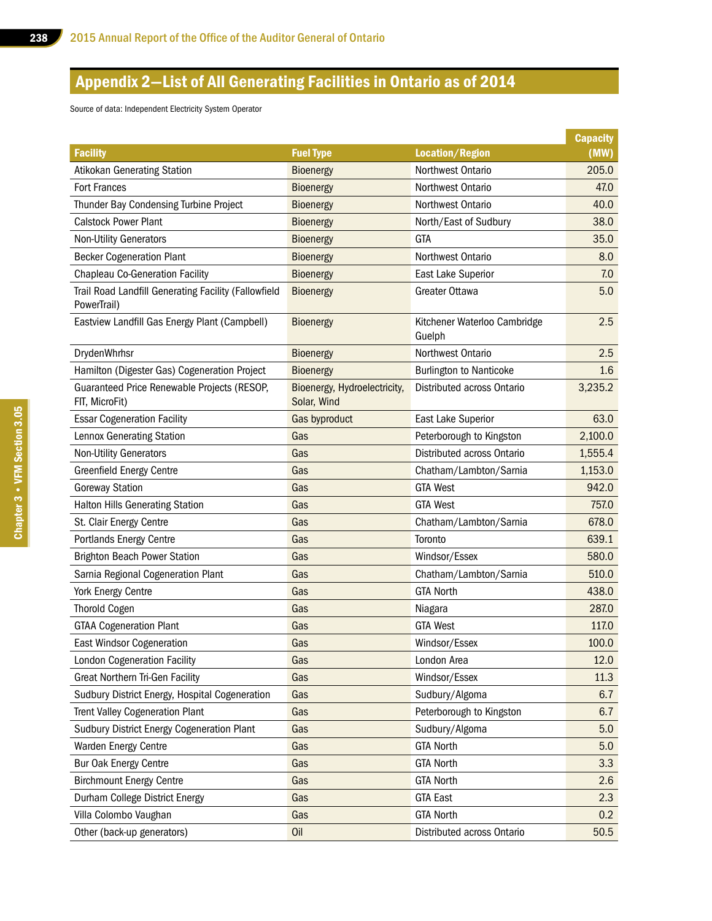# Appendix 2—List of All Generating Facilities in Ontario as of 2014

Source of data: Independent Electricity System Operator

|                                                                     |                                             |                                        | <b>Capacity</b> |
|---------------------------------------------------------------------|---------------------------------------------|----------------------------------------|-----------------|
| <b>Facility</b>                                                     | <b>Fuel Type</b>                            | Location/Region                        | (MW)            |
| <b>Atikokan Generating Station</b>                                  | <b>Bioenergy</b>                            | Northwest Ontario                      | 205.0           |
| <b>Fort Frances</b>                                                 | <b>Bioenergy</b>                            | Northwest Ontario                      | 47.0            |
| Thunder Bay Condensing Turbine Project                              | <b>Bioenergy</b>                            | Northwest Ontario                      | 40.0            |
| <b>Calstock Power Plant</b>                                         | <b>Bioenergy</b>                            | North/East of Sudbury                  | 38.0            |
| <b>Non-Utility Generators</b>                                       | <b>Bioenergy</b>                            | <b>GTA</b>                             | 35.0            |
| <b>Becker Cogeneration Plant</b>                                    | <b>Bioenergy</b>                            | Northwest Ontario                      | 8.0             |
| <b>Chapleau Co-Generation Facility</b>                              | Bioenergy                                   | East Lake Superior                     | 7.0             |
| Trail Road Landfill Generating Facility (Fallowfield<br>PowerTrail) | <b>Bioenergy</b>                            | Greater Ottawa                         | 5.0             |
| Eastview Landfill Gas Energy Plant (Campbell)                       | <b>Bioenergy</b>                            | Kitchener Waterloo Cambridge<br>Guelph | 2.5             |
| DrydenWhrhsr                                                        | <b>Bioenergy</b>                            | Northwest Ontario                      | 2.5             |
| Hamilton (Digester Gas) Cogeneration Project                        | Bioenergy                                   | <b>Burlington to Nanticoke</b>         | 1.6             |
| Guaranteed Price Renewable Projects (RESOP,<br>FIT, MicroFit)       | Bioenergy, Hydroelectricity,<br>Solar, Wind | Distributed across Ontario             | 3,235.2         |
| <b>Essar Cogeneration Facility</b>                                  | Gas byproduct                               | East Lake Superior                     | 63.0            |
| Lennox Generating Station                                           | Gas                                         | Peterborough to Kingston               | 2,100.0         |
| <b>Non-Utility Generators</b>                                       | Gas                                         | Distributed across Ontario             | 1,555.4         |
| <b>Greenfield Energy Centre</b>                                     | Gas                                         | Chatham/Lambton/Sarnia                 | 1,153.0         |
| <b>Goreway Station</b>                                              | Gas                                         | <b>GTA West</b>                        | 942.0           |
| <b>Halton Hills Generating Station</b>                              | Gas                                         | <b>GTA West</b>                        | 757.0           |
| St. Clair Energy Centre                                             | Gas                                         | Chatham/Lambton/Sarnia                 | 678.0           |
| <b>Portlands Energy Centre</b>                                      | Gas                                         | Toronto                                | 639.1           |
| <b>Brighton Beach Power Station</b>                                 | Gas                                         | Windsor/Essex                          | 580.0           |
| Sarnia Regional Cogeneration Plant                                  | Gas                                         | Chatham/Lambton/Sarnia                 | 510.0           |
| York Energy Centre                                                  | Gas                                         | <b>GTA North</b>                       | 438.0           |
| <b>Thorold Cogen</b>                                                | Gas                                         | Niagara                                | 287.0           |
| <b>GTAA Cogeneration Plant</b>                                      | Gas                                         | <b>GTA West</b>                        | 117.0           |
| <b>East Windsor Cogeneration</b>                                    | Gas                                         | Windsor/Essex                          | 100.0           |
| <b>London Cogeneration Facility</b>                                 | Gas                                         | London Area                            | 12.0            |
| <b>Great Northern Tri-Gen Facility</b>                              | Gas                                         | Windsor/Essex                          | 11.3            |
| Sudbury District Energy, Hospital Cogeneration                      | Gas                                         | Sudbury/Algoma                         | 6.7             |
| <b>Trent Valley Cogeneration Plant</b>                              | Gas                                         | Peterborough to Kingston               | 6.7             |
| Sudbury District Energy Cogeneration Plant                          | Gas                                         | Sudbury/Algoma                         | 5.0             |
| Warden Energy Centre                                                | Gas                                         | <b>GTA North</b>                       | 5.0             |
| Bur Oak Energy Centre                                               | Gas                                         | <b>GTA North</b>                       | 3.3             |
| <b>Birchmount Energy Centre</b>                                     | Gas                                         | <b>GTA North</b>                       | 2.6             |
| Durham College District Energy                                      | Gas                                         | <b>GTA East</b>                        | 2.3             |
| Villa Colombo Vaughan                                               | Gas                                         | <b>GTA North</b>                       | 0.2             |
| Other (back-up generators)                                          | Oil                                         | Distributed across Ontario             | 50.5            |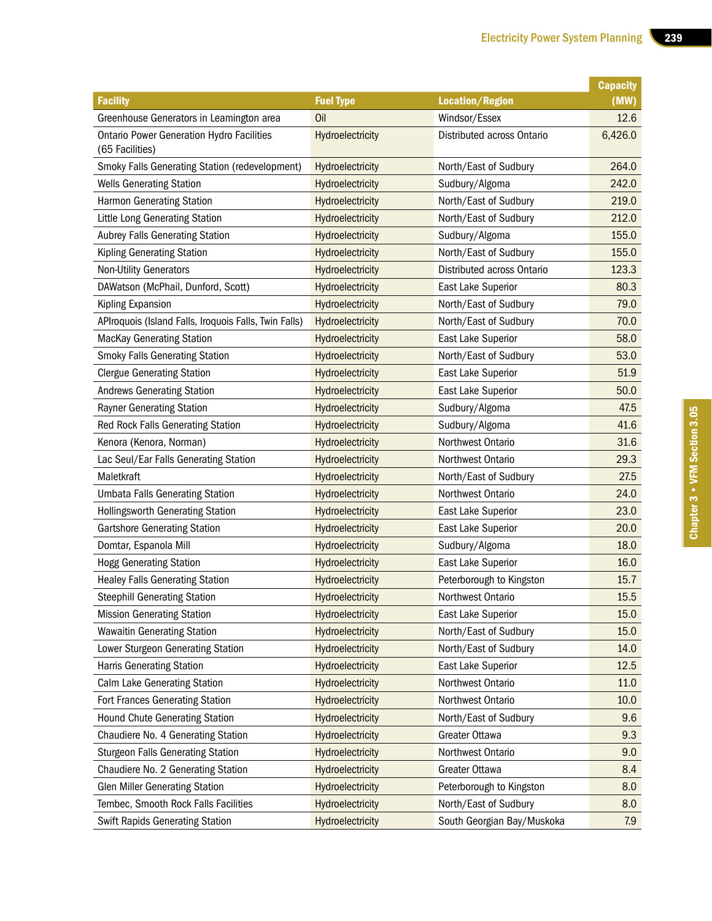п

|                                                                     |                         |                            | <b>Capacity</b> |
|---------------------------------------------------------------------|-------------------------|----------------------------|-----------------|
| <b>Facility</b>                                                     | <b>Fuel Type</b>        | <b>Location/Region</b>     | (MW)            |
| Greenhouse Generators in Leamington area                            | Oil                     | Windsor/Essex              | 12.6            |
| <b>Ontario Power Generation Hydro Facilities</b><br>(65 Facilities) | Hydroelectricity        | Distributed across Ontario | 6,426.0         |
| <b>Smoky Falls Generating Station (redevelopment)</b>               | Hydroelectricity        | North/East of Sudbury      | 264.0           |
| <b>Wells Generating Station</b>                                     | Hydroelectricity        | Sudbury/Algoma             | 242.0           |
| <b>Harmon Generating Station</b>                                    | Hydroelectricity        | North/East of Sudbury      | 219.0           |
| Little Long Generating Station                                      | Hydroelectricity        | North/East of Sudbury      | 212.0           |
| Aubrey Falls Generating Station                                     | Hydroelectricity        | Sudbury/Algoma             | 155.0           |
| Kipling Generating Station                                          | Hydroelectricity        | North/East of Sudbury      | 155.0           |
| <b>Non-Utility Generators</b>                                       | Hydroelectricity        | Distributed across Ontario | 123.3           |
| DAWatson (McPhail, Dunford, Scott)                                  | Hydroelectricity        | East Lake Superior         | 80.3            |
| Kipling Expansion                                                   | Hydroelectricity        | North/East of Sudbury      | 79.0            |
| APIroquois (Island Falls, Iroquois Falls, Twin Falls)               | Hydroelectricity        | North/East of Sudbury      | 70.0            |
| <b>MacKay Generating Station</b>                                    | Hydroelectricity        | East Lake Superior         | 58.0            |
| <b>Smoky Falls Generating Station</b>                               | Hydroelectricity        | North/East of Sudbury      | 53.0            |
| <b>Clergue Generating Station</b>                                   | Hydroelectricity        | East Lake Superior         | 51.9            |
| <b>Andrews Generating Station</b>                                   | Hydroelectricity        | East Lake Superior         | 50.0            |
| <b>Rayner Generating Station</b>                                    | Hydroelectricity        | Sudbury/Algoma             | 47.5            |
| Red Rock Falls Generating Station                                   | <b>Hydroelectricity</b> | Sudbury/Algoma             | 41.6            |
| Kenora (Kenora, Norman)                                             | Hydroelectricity        | Northwest Ontario          | 31.6            |
| Lac Seul/Ear Falls Generating Station                               | <b>Hydroelectricity</b> | Northwest Ontario          | 29.3            |
| Maletkraft                                                          | Hydroelectricity        | North/East of Sudbury      | 27.5            |
| <b>Umbata Falls Generating Station</b>                              | Hydroelectricity        | Northwest Ontario          | 24.0            |
| <b>Hollingsworth Generating Station</b>                             | Hydroelectricity        | East Lake Superior         | 23.0            |
| <b>Gartshore Generating Station</b>                                 | Hydroelectricity        | East Lake Superior         | 20.0            |
| Domtar, Espanola Mill                                               | Hydroelectricity        | Sudbury/Algoma             | 18.0            |
| <b>Hogg Generating Station</b>                                      | Hydroelectricity        | East Lake Superior         | 16.0            |
| <b>Healey Falls Generating Station</b>                              | Hydroelectricity        | Peterborough to Kingston   | 15.7            |
| <b>Steephill Generating Station</b>                                 | Hydroelectricity        | Northwest Ontario          | 15.5            |
| <b>Mission Generating Station</b>                                   | Hydroelectricity        | East Lake Superior         | 15.0            |
| <b>Wawaitin Generating Station</b>                                  | Hydroelectricity        | North/East of Sudbury      | 15.0            |
| Lower Sturgeon Generating Station                                   | Hydroelectricity        | North/East of Sudbury      | 14.0            |
| Harris Generating Station                                           | Hydroelectricity        | East Lake Superior         | 12.5            |
| Calm Lake Generating Station                                        | Hydroelectricity        | Northwest Ontario          | 11.0            |
| <b>Fort Frances Generating Station</b>                              | Hydroelectricity        | Northwest Ontario          | 10.0            |
| Hound Chute Generating Station                                      | Hydroelectricity        | North/East of Sudbury      | 9.6             |
| Chaudiere No. 4 Generating Station                                  | Hydroelectricity        | Greater Ottawa             | 9.3             |
| <b>Sturgeon Falls Generating Station</b>                            | Hydroelectricity        | Northwest Ontario          | 9.0             |
| Chaudiere No. 2 Generating Station                                  | Hydroelectricity        | Greater Ottawa             | 8.4             |
| <b>Glen Miller Generating Station</b>                               | Hydroelectricity        | Peterborough to Kingston   | 8.0             |
| Tembec, Smooth Rock Falls Facilities                                | Hydroelectricity        | North/East of Sudbury      | 8.0             |
| <b>Swift Rapids Generating Station</b>                              | Hydroelectricity        | South Georgian Bay/Muskoka | 7.9             |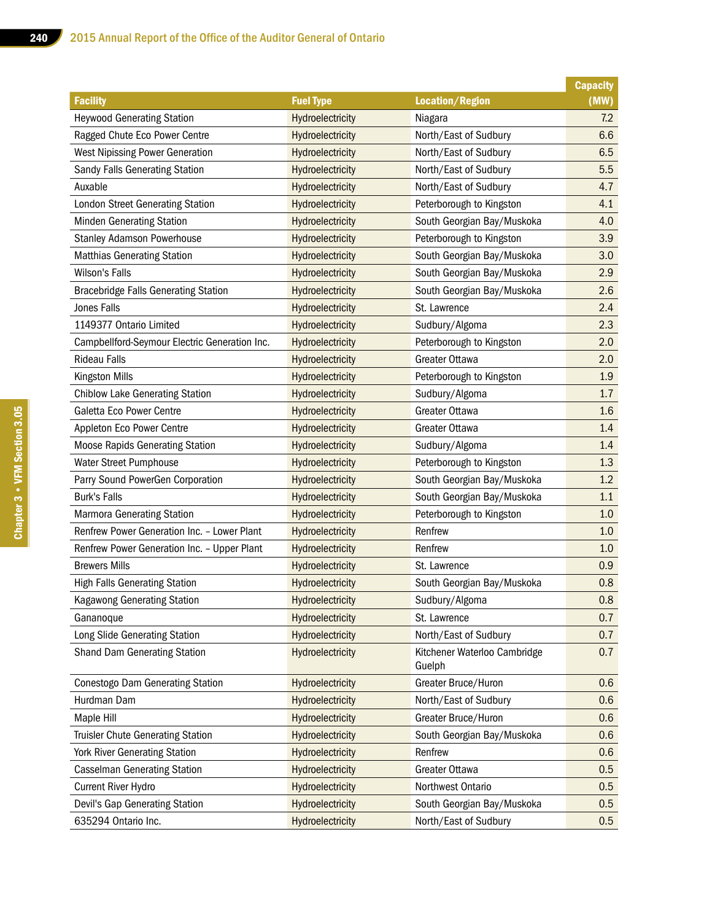|                                               |                  |                                        | <b>Capacity</b> |
|-----------------------------------------------|------------------|----------------------------------------|-----------------|
| <b>Facility</b>                               | <b>Fuel Type</b> | <b>Location/Region</b>                 | (MW)            |
| <b>Heywood Generating Station</b>             | Hydroelectricity | Niagara                                | 7.2             |
| Ragged Chute Eco Power Centre                 | Hydroelectricity | North/East of Sudbury                  | 6.6             |
| <b>West Nipissing Power Generation</b>        | Hydroelectricity | North/East of Sudbury                  | 6.5             |
| Sandy Falls Generating Station                | Hydroelectricity | North/East of Sudbury                  | 5.5             |
| Auxable                                       | Hydroelectricity | North/East of Sudbury                  | 4.7             |
| London Street Generating Station              | Hydroelectricity | Peterborough to Kingston               | 4.1             |
| Minden Generating Station                     | Hydroelectricity | South Georgian Bay/Muskoka             | 4.0             |
| <b>Stanley Adamson Powerhouse</b>             | Hydroelectricity | Peterborough to Kingston               | 3.9             |
| <b>Matthias Generating Station</b>            | Hydroelectricity | South Georgian Bay/Muskoka             | 3.0             |
| <b>Wilson's Falls</b>                         | Hydroelectricity | South Georgian Bay/Muskoka             | 2.9             |
| <b>Bracebridge Falls Generating Station</b>   | Hydroelectricity | South Georgian Bay/Muskoka             | 2.6             |
| <b>Jones Falls</b>                            | Hydroelectricity | St. Lawrence                           | 2.4             |
| 1149377 Ontario Limited                       | Hydroelectricity | Sudbury/Algoma                         | 2.3             |
| Campbellford-Seymour Electric Generation Inc. | Hydroelectricity | Peterborough to Kingston               | 2.0             |
| <b>Rideau Falls</b>                           | Hydroelectricity | Greater Ottawa                         | 2.0             |
| <b>Kingston Mills</b>                         | Hydroelectricity | Peterborough to Kingston               | 1.9             |
| <b>Chiblow Lake Generating Station</b>        | Hydroelectricity | Sudbury/Algoma                         | 1.7             |
| Galetta Eco Power Centre                      | Hydroelectricity | Greater Ottawa                         | 1.6             |
| Appleton Eco Power Centre                     | Hydroelectricity | Greater Ottawa                         | 1.4             |
| <b>Moose Rapids Generating Station</b>        | Hydroelectricity | Sudbury/Algoma                         | 1.4             |
| <b>Water Street Pumphouse</b>                 | Hydroelectricity | Peterborough to Kingston               | 1.3             |
| Parry Sound PowerGen Corporation              | Hydroelectricity | South Georgian Bay/Muskoka             | 1.2             |
| <b>Burk's Falls</b>                           | Hydroelectricity | South Georgian Bay/Muskoka             | 1.1             |
| Marmora Generating Station                    | Hydroelectricity | Peterborough to Kingston               | 1.0             |
| Renfrew Power Generation Inc. - Lower Plant   | Hydroelectricity | Renfrew                                | 1.0             |
| Renfrew Power Generation Inc. - Upper Plant   | Hydroelectricity | Renfrew                                | 1.0             |
| <b>Brewers Mills</b>                          | Hydroelectricity | St. Lawrence                           | 0.9             |
| <b>High Falls Generating Station</b>          | Hydroelectricity | South Georgian Bay/Muskoka             | 0.8             |
| Kagawong Generating Station                   | Hydroelectricity | Sudbury/Algoma                         | 0.8             |
| Gananoque                                     | Hydroelectricity | St. Lawrence                           | 0.7             |
| Long Slide Generating Station                 | Hydroelectricity | North/East of Sudbury                  | 0.7             |
| Shand Dam Generating Station                  | Hydroelectricity | Kitchener Waterloo Cambridge<br>Guelph | 0.7             |
| Conestogo Dam Generating Station              | Hydroelectricity | Greater Bruce/Huron                    | 0.6             |
| Hurdman Dam                                   | Hydroelectricity | North/East of Sudbury                  | 0.6             |
| Maple Hill                                    | Hydroelectricity | Greater Bruce/Huron                    | 0.6             |
| Truisler Chute Generating Station             | Hydroelectricity | South Georgian Bay/Muskoka             | 0.6             |
| York River Generating Station                 | Hydroelectricity | Renfrew                                | 0.6             |
| <b>Casselman Generating Station</b>           | Hydroelectricity | Greater Ottawa                         | 0.5             |
| <b>Current River Hydro</b>                    | Hydroelectricity | Northwest Ontario                      | 0.5             |
| Devil's Gap Generating Station                | Hydroelectricity | South Georgian Bay/Muskoka             | 0.5             |
| 635294 Ontario Inc.                           | Hydroelectricity | North/East of Sudbury                  | 0.5             |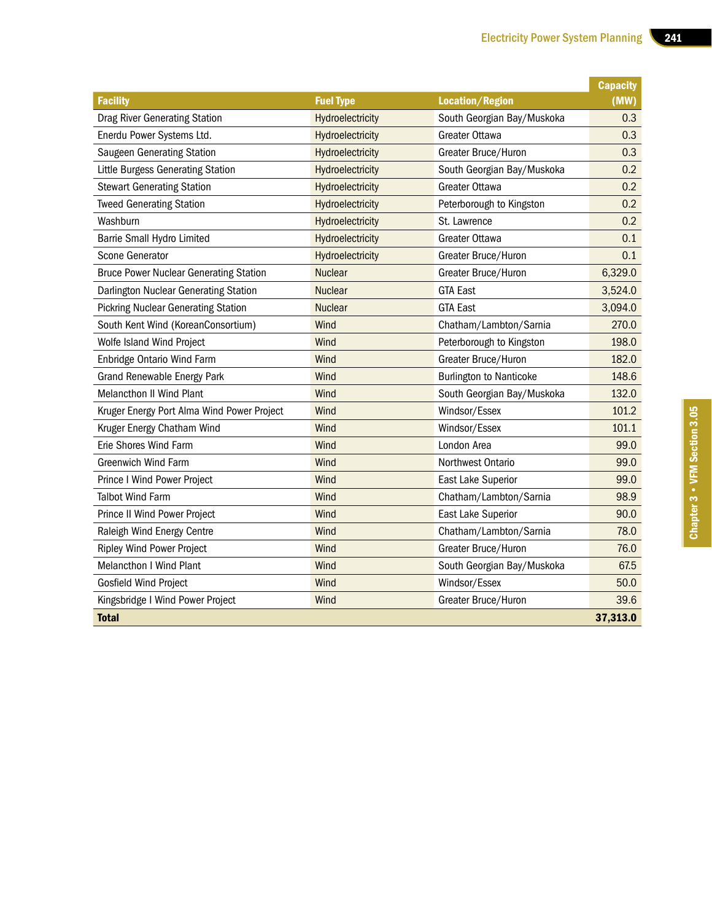|                                               |                  |                                | <b>Capacity</b> |
|-----------------------------------------------|------------------|--------------------------------|-----------------|
| <b>Facility</b>                               | <b>Fuel Type</b> | <b>Location/Region</b>         | (MW)            |
| <b>Drag River Generating Station</b>          | Hydroelectricity | South Georgian Bay/Muskoka     | 0.3             |
| Enerdu Power Systems Ltd.                     | Hydroelectricity | Greater Ottawa                 | 0.3             |
| Saugeen Generating Station                    | Hydroelectricity | Greater Bruce/Huron            | 0.3             |
| Little Burgess Generating Station             | Hydroelectricity | South Georgian Bay/Muskoka     | 0.2             |
| <b>Stewart Generating Station</b>             | Hydroelectricity | Greater Ottawa                 | 0.2             |
| <b>Tweed Generating Station</b>               | Hydroelectricity | Peterborough to Kingston       | 0.2             |
| Washburn                                      | Hydroelectricity | St. Lawrence                   | 0.2             |
| Barrie Small Hydro Limited                    | Hydroelectricity | Greater Ottawa                 | 0.1             |
| Scone Generator                               | Hydroelectricity | Greater Bruce/Huron            | 0.1             |
| <b>Bruce Power Nuclear Generating Station</b> | <b>Nuclear</b>   | Greater Bruce/Huron            | 6,329.0         |
| Darlington Nuclear Generating Station         | <b>Nuclear</b>   | <b>GTA East</b>                | 3,524.0         |
| <b>Pickring Nuclear Generating Station</b>    | <b>Nuclear</b>   | <b>GTA East</b>                | 3,094.0         |
| South Kent Wind (KoreanConsortium)            | Wind             | Chatham/Lambton/Sarnia         | 270.0           |
| Wolfe Island Wind Project                     | Wind             | Peterborough to Kingston       | 198.0           |
| Enbridge Ontario Wind Farm                    | Wind             | Greater Bruce/Huron            | 182.0           |
| <b>Grand Renewable Energy Park</b>            | Wind             | <b>Burlington to Nanticoke</b> | 148.6           |
| <b>Melancthon II Wind Plant</b>               | Wind             | South Georgian Bay/Muskoka     | 132.0           |
| Kruger Energy Port Alma Wind Power Project    | Wind             | Windsor/Essex                  | 101.2           |
| Kruger Energy Chatham Wind                    | Wind             | Windsor/Essex                  | 101.1           |
| Erie Shores Wind Farm                         | Wind             | London Area                    | 99.0            |
| Greenwich Wind Farm                           | Wind             | Northwest Ontario              | 99.0            |
| Prince I Wind Power Project                   | Wind             | East Lake Superior             | 99.0            |
| <b>Talbot Wind Farm</b>                       | Wind             | Chatham/Lambton/Sarnia         | 98.9            |
| Prince II Wind Power Project                  | Wind             | East Lake Superior             | 90.0            |
| Raleigh Wind Energy Centre                    | Wind             | Chatham/Lambton/Sarnia         | 78.0            |
| <b>Ripley Wind Power Project</b>              | Wind             | Greater Bruce/Huron            | 76.0            |
| <b>Melancthon I Wind Plant</b>                | Wind             | South Georgian Bay/Muskoka     | 67.5            |
| Gosfield Wind Project                         | Wind             | Windsor/Essex                  | 50.0            |
| Kingsbridge I Wind Power Project              | Wind             | Greater Bruce/Huron            | 39.6            |
| <b>Total</b>                                  |                  |                                | 37,313.0        |